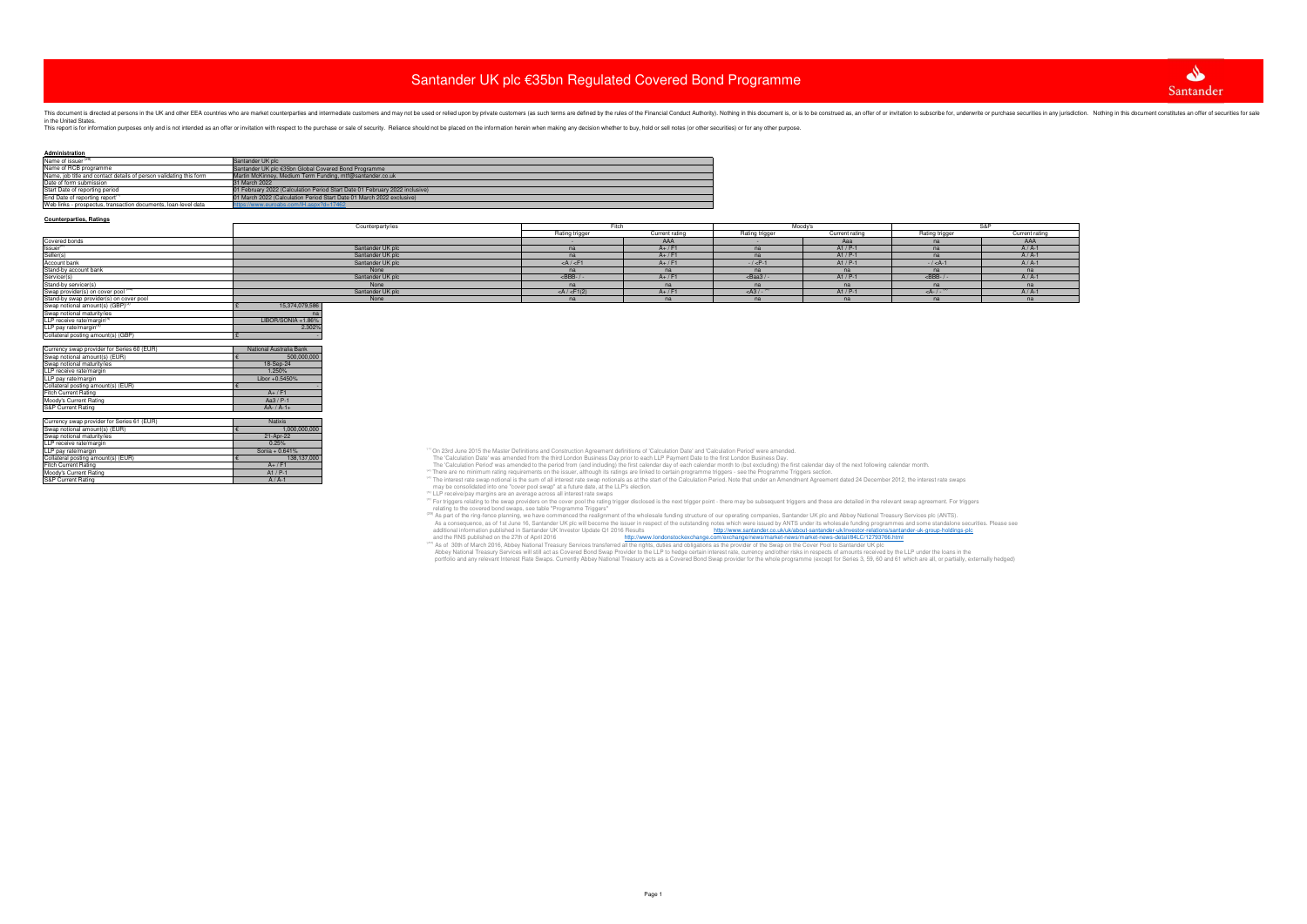### **Counterparties, Ratings**

| LLP receive rate/margin <sup>(4)</sup>     | LIBOR/SONIA +1.86%      |
|--------------------------------------------|-------------------------|
| LLP pay rate/margin <sup>(4)</sup>         | 2.302%                  |
| Collateral posting amount(s) (GBP)         | £                       |
|                                            |                         |
| Currency swap provider for Series 60 (EUR) | National Australia Bank |
| Swap notional amount(s) (EUR)              | 500,000,000<br>€        |
| Swap notional maturity/ies                 | 18-Sep-24               |
| LLP receive rate/margin                    | 1.250%                  |
| LLP pay rate/margin                        | Libor +0.5450%          |
| Collateral posting amount(s) (EUR)         | €                       |
| <b>Fitch Current Rating</b>                | $A+$ / F1               |
| Moody's Current Rating                     | Aa3 / P-1               |
| <b>S&amp;P Current Rating</b>              | $AA - / A - 1 +$        |
|                                            |                         |
| Currency swap provider for Series 61 (EUR) | <b>Natixis</b>          |
| Swap notional amount(s) (EUR)              | 1,000,000,000<br>€      |
| Swap notional maturity/ies                 | 21-Apr-22               |
| LLP receive rate/margin                    | 0.25%                   |
| LLP pay rate/margin                        | Sonia + 0.641%          |
| Collateral posting amount(s) (EUR)         | 138.137.000<br>€        |
| <b>Fitch Current Rating</b>                | $A+$ / F1               |
| Moody's Current Rating                     | $A1/P-1$                |
| S&P Current Rating                         | $A/A-1$                 |

(EUR)<br>
8 Concerting and the state of the Material on the state of the Material of Calculation Period (EUR)<br>
138,137,000<br>
199 23rd June 2015 the Master Definitions and Construction Agreement definitions of 'Calculation Da

<sup>(4)</sup> LLP receive/pay margins are an average across all interest rate swaps<br>
relating to the swap providers on the cover pool the rating frigger disclosed is the next trigger point - there may be subsequent triggers and th

and the RNS published on the 27th of April 2016<br><sup>(@)</sup> As of 30th of March 2016, Abbey National Treasury Services transferred all the rights, duties and obligations as the provider of the Swap on the Cover Pool to Santander

portfolio and any relevant Interest Rate Swaps. Currently Abbey National Treasury acts as a Covered Bond Swap provider for the whole programme (except for Series 3, 59, 60 and 61 which are all, or partially, externally hed

| Administration                                                     |                                                                             |
|--------------------------------------------------------------------|-----------------------------------------------------------------------------|
| Name of issuer <sup>(29)</sup>                                     | Santander UK plc                                                            |
| Name of RCB programme                                              | Santander UK plc €35bn Global Covered Bond Programme                        |
| Name, job title and contact details of person validating this form | Martin McKinney, Medium Term Funding, mtf@santander.co.uk                   |
| Date of form submission                                            | 31 March 2022                                                               |
| Start Date of reporting period                                     | 01 February 2022 (Calculation Period Start Date 01 February 2022 inclusive) |
| End Date of reporting report <sup>(1)</sup>                        | 01 March 2022 (Calculation Period Start Date 01 March 2022 exclusive)       |
| Web links - prospectus, transaction documents, loan-level data     | https://www.euroabs.com/IH.aspx?d=17462                                     |
|                                                                    |                                                                             |

|                                              | Counterparty/ies | Fitch             |                | Moodv'              |                | S&P            |                |
|----------------------------------------------|------------------|-------------------|----------------|---------------------|----------------|----------------|----------------|
|                                              |                  | Rating trigger    | Current rating | Rating trigger      | Current rating | Rating trigger | Current rating |
| Covered bonds                                |                  |                   | AAA            |                     | Aaa            |                | AAA            |
| Issuer                                       | Santander UK plc |                   | $A+$ / F1      | na                  | $A1/P-1$       | n <sub>z</sub> | $A/A-1$        |
| Seller(s)                                    | Santander UK plc | na                | $A+$ / F1      | na                  | $A1 / P-1$     |                | $A/A-1$        |
| Account bank                                 | Santander UK plc | $<$ A $/$ $<$ F1  | $A+ / F+$      | $- / < P - 1$       | $A1/P-1$       | $- / < A - 1$  | $A/A-1$        |
|                                              | None             | na                | n <sub>c</sub> | na                  | na             | na             | na             |
| Stand-by account bank<br>Servicer(s)         | Santander UK plc | $<$ BBB- $/$      | $A+$ / $F'$    | $<$ Baa3 / -        | $A1/P-1$       | $<$ BBB-       | $A/A-1$        |
| Stand-by servicer(s)                         | None             |                   |                | na                  | na             |                | na             |
| Swap provider(s) on cover pool               | Santander UK plc | $<$ A / $<$ F1(2) | $A+$ / F       | $<$ A3 / - $^{(2)}$ | $A1/P-1$       | $<$ A- $/$ -   | $A/A-1$        |
| Stand-by swap provider(s) on cover pool      | None             | na                |                | na                  | na             |                | na             |
| Swap notional amount(s) (GBP) <sup>(3)</sup> | 15,374,079,586   |                   |                |                     |                |                |                |
| Swap notional maturity/ies                   |                  |                   |                |                     |                |                |                |
|                                              |                  |                   |                |                     |                |                |                |

# Santander UK plc €35bn Regulated Covered Bond Programme

This directed at persons in the UK and other EEA countries who are market counterparties and intermediate customers and may not be used or relied upon by private customers (as such terms are defined by the rules of the Fin

This report is for information purposes only and is not intended as an offer or invitation with respect to the purchase or sale of security. Reliance should not be placed on the information herein when making any decision



| P |                    |  |
|---|--------------------|--|
|   | Current rating     |  |
|   | AAA                |  |
|   | $A / A-1$          |  |
|   | $A/A-1$            |  |
|   | $A/A-1$            |  |
|   | na                 |  |
|   | $A/A-1$            |  |
|   | na                 |  |
|   | $A/\overline{A-1}$ |  |
|   | na                 |  |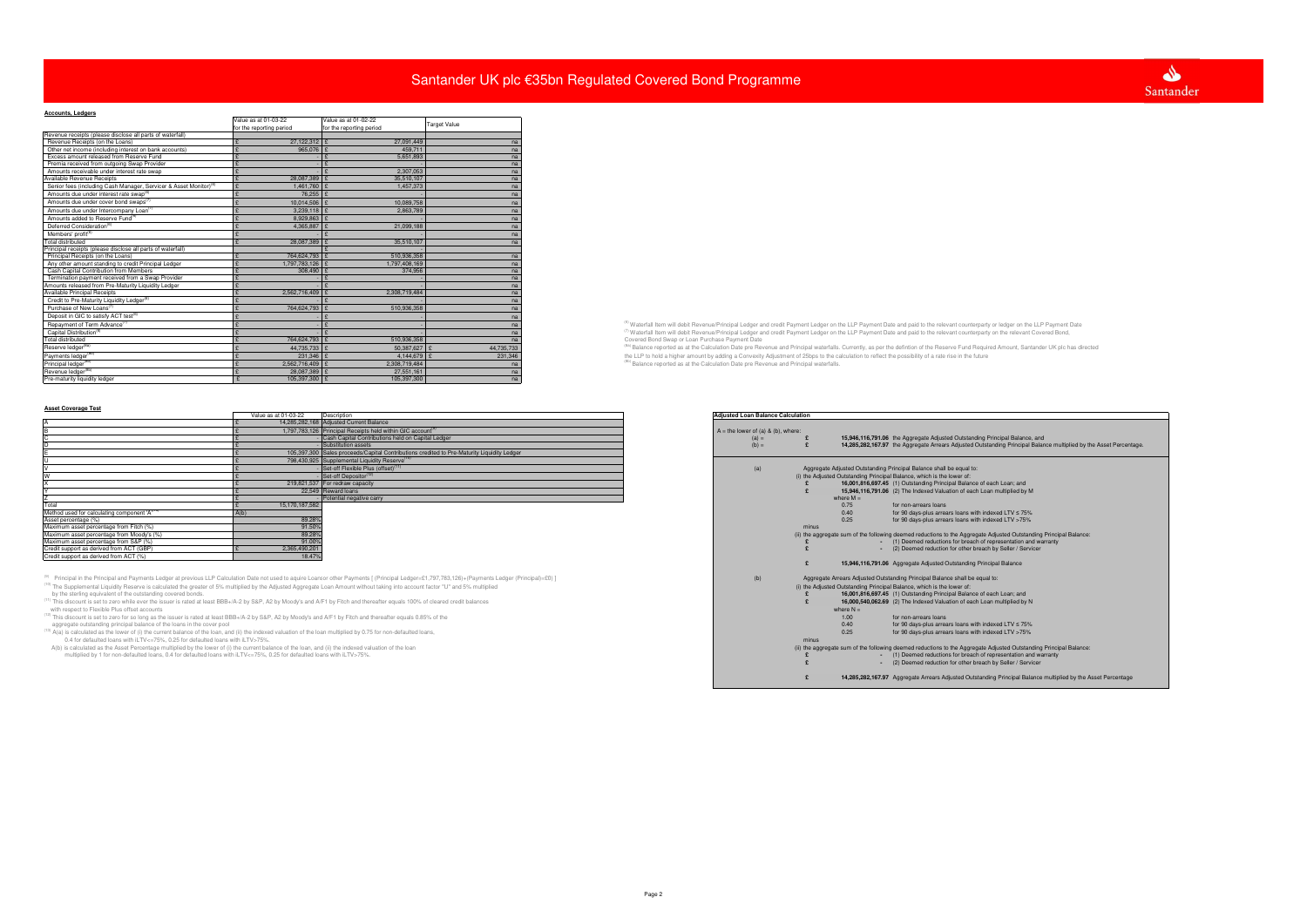| <b>Accounts, Ledgers</b>                                                      |                          |                          |                     |                                                                                                                                                                                             |
|-------------------------------------------------------------------------------|--------------------------|--------------------------|---------------------|---------------------------------------------------------------------------------------------------------------------------------------------------------------------------------------------|
|                                                                               | Value as at 01-03-22     | Value as at 01-02-22     | <b>Target Value</b> |                                                                                                                                                                                             |
|                                                                               | for the reporting period | for the reporting period |                     |                                                                                                                                                                                             |
| Revenue receipts (please disclose all parts of waterfall)                     |                          |                          |                     |                                                                                                                                                                                             |
| Revenue Receipts (on the Loans)                                               | 27,122,312               | 27.091.449               |                     |                                                                                                                                                                                             |
| Other net income (including interest on bank accounts)                        | 965,076                  | 459,711                  |                     |                                                                                                                                                                                             |
| Excess amount released from Reserve Fund                                      |                          | 5,651,893                |                     |                                                                                                                                                                                             |
| Premia received from outgoing Swap Provider                                   |                          |                          |                     |                                                                                                                                                                                             |
| Amounts receivable under interest rate swap                                   |                          | 2.307.053                |                     |                                                                                                                                                                                             |
| Available Revenue Receipts                                                    | 28,087,389 £             | 35,510,107               |                     |                                                                                                                                                                                             |
| Senior fees (including Cash Manager, Servicer & Asset Monitor) <sup>(6)</sup> | 1,461,760 £              | 1,457,373                |                     |                                                                                                                                                                                             |
| Amounts due under interest rate swap <sup>(6)</sup>                           | 76.255                   |                          |                     |                                                                                                                                                                                             |
| Amounts due under cover bond swaps <sup>(7</sup>                              | 10.014.506               | 10,089,758               |                     |                                                                                                                                                                                             |
| Amounts due under Intercompany Loan <sup>(7)</sup>                            | 3.239.118                | 2.863.789                |                     |                                                                                                                                                                                             |
| Amounts added to Reserve Fund <sup>(6)</sup>                                  | 8,929,863                |                          |                     |                                                                                                                                                                                             |
| Deferred Consideration <sup>(6)</sup>                                         | 4.365.887                | 21,099,188               |                     |                                                                                                                                                                                             |
| Members' profit <sup>(6)</sup>                                                |                          |                          |                     |                                                                                                                                                                                             |
| <b>Total distributed</b>                                                      | 28,087,389               | 35,510,107               |                     |                                                                                                                                                                                             |
| Principal receipts (please disclose all parts of waterfall)                   |                          |                          |                     |                                                                                                                                                                                             |
| Principal Receipts (on the Loans)                                             | 764,624,793              | 510,936,358              |                     |                                                                                                                                                                                             |
| Any other amount standing to credit Principal Ledger                          | 1,797,783,126            | 1,797,408,169            |                     |                                                                                                                                                                                             |
| Cash Capital Contribution from Members                                        | 308,490                  | 374,956                  |                     |                                                                                                                                                                                             |
| Termination payment received from a Swap Provider                             |                          |                          |                     |                                                                                                                                                                                             |
| Amounts released from Pre-Maturity Liquidity Ledger                           |                          |                          |                     |                                                                                                                                                                                             |
| Available Principal Receipts                                                  | 2.562.716.409            | 2.308.719.484            |                     |                                                                                                                                                                                             |
| Credit to Pre-Maturity Liquidity Ledger <sup>(6)</sup>                        |                          |                          |                     |                                                                                                                                                                                             |
| Purchase of New Loans <sup>(7)</sup>                                          | 764,624,793              | 510,936,358              |                     |                                                                                                                                                                                             |
| Deposit in GIC to satisfy ACT test <sup>(6)</sup>                             |                          |                          |                     |                                                                                                                                                                                             |
| Repayment of Term Advance <sup>(7)</sup>                                      |                          |                          |                     | <sup>(6)</sup> Waterfall Item will debit Revenue/Principal Ledger and credit Payment Ledger on the LLP Payment Date and paid to the relevant counterparty or ledger on the LLP Payment Date |
| Capital Distribution <sup>(6)</sup>                                           |                          |                          |                     | <sup>(7)</sup> Waterfall Item will debit Revenue/Principal Ledger and credit Payment Ledger on the LLP Payment Date and paid to the relevant counterparty on the relevant Covered Bond,     |
| <b>Total distributed</b>                                                      | 764,624,793 £            | 510,936,358              |                     | Covered Bond Swap or Loan Purchase Payment Date                                                                                                                                             |
| Reserve ledger <sup>(8a)</sup>                                                | 44,735,733 £             | 50,387,627               | 44,735,733          | (Ba) Balance reported as at the Calculation Date pre Revenue and Principal waterfalls. Currently, as per the defintion of the Reserve Fund Required Amount, Santander UK plc has directed   |
| Payments ledger <sup>(8</sup>                                                 | 231,346                  | 4.144.679                | 231,346             | the LLP to hold a higher amount by adding a Convexity Adjustment of 25bps to the calculation to reflect the possibility of a rate rise in the future                                        |
| Principal ledger <sup>(8</sup>                                                | 2.562.716.409            | 2.308.719.484            |                     | (8b) Balance reported as at the Calculation Date pre Revenue and Principal waterfalls.                                                                                                      |
| Revenue ledger <sup>(8b)</sup>                                                | 28.087.389 £             | 27.551.161               |                     |                                                                                                                                                                                             |
| Pre-maturity liquidity ledger                                                 | 105,397,300              | 105,397,300              |                     |                                                                                                                                                                                             |

## **Asset Coverage Test**

|                                                                                                                                                                                                                                                                                   | Value as at 01-03-22 | Description                                                                                                                                                                                                    | <b>Adiusted Loan Balance Calculation</b> |                                                                                                                                                                                        |
|-----------------------------------------------------------------------------------------------------------------------------------------------------------------------------------------------------------------------------------------------------------------------------------|----------------------|----------------------------------------------------------------------------------------------------------------------------------------------------------------------------------------------------------------|------------------------------------------|----------------------------------------------------------------------------------------------------------------------------------------------------------------------------------------|
|                                                                                                                                                                                                                                                                                   |                      | 14,285,282,168 Adjusted Current Balance                                                                                                                                                                        |                                          |                                                                                                                                                                                        |
|                                                                                                                                                                                                                                                                                   |                      | 1.797.783.126 Principal Receipts held within GIC account <sup>(9)</sup>                                                                                                                                        | $A =$ the lower of (a) & (b), where:     |                                                                                                                                                                                        |
|                                                                                                                                                                                                                                                                                   |                      | Cash Capital Contributions held on Capital Ledger                                                                                                                                                              | $(a) =$                                  | 15,946,116,791.06 the Aggregate Adjusted Outstanding Principal Balance, and                                                                                                            |
|                                                                                                                                                                                                                                                                                   |                      | Substitution assets                                                                                                                                                                                            | $(b) =$                                  | 14,285,282,167.97 the Aggregate Arrears Adjusted Outstanding Principal Balance multiplied by t                                                                                         |
|                                                                                                                                                                                                                                                                                   |                      | 105.397.300 Sales proceeds/Capital Contributions credited to Pre-Maturity Liquidity Ledger                                                                                                                     |                                          |                                                                                                                                                                                        |
|                                                                                                                                                                                                                                                                                   |                      | 798.430.925 Supplemental Liquidity Reserve <sup>(10</sup>                                                                                                                                                      |                                          |                                                                                                                                                                                        |
|                                                                                                                                                                                                                                                                                   |                      | Set-off Flexible Plus (offset) <sup>(11</sup>                                                                                                                                                                  | (a)                                      | Aggregate Adjusted Outstanding Principal Balance shall be equal to:                                                                                                                    |
|                                                                                                                                                                                                                                                                                   |                      | Set-off Depositor <sup>(12)</sup>                                                                                                                                                                              |                                          | (i) the Adjusted Outstanding Principal Balance, which is the lower of:                                                                                                                 |
|                                                                                                                                                                                                                                                                                   |                      | 219,821,537 For redraw capacity                                                                                                                                                                                |                                          | 16,001,816,697.45 (1) Outstanding Principal Balance of each Loan; and                                                                                                                  |
|                                                                                                                                                                                                                                                                                   |                      | 22,549 Reward loans                                                                                                                                                                                            |                                          | 15,946,116,791.06 (2) The Indexed Valuation of each Loan multiplied by M                                                                                                               |
|                                                                                                                                                                                                                                                                                   |                      | Potential negative carry                                                                                                                                                                                       |                                          | where $M =$                                                                                                                                                                            |
|                                                                                                                                                                                                                                                                                   | 15.170.187.582       |                                                                                                                                                                                                                |                                          | 0.75<br>for non-arrears loans                                                                                                                                                          |
| Method used for calculating component 'A' <sup>(13)</sup>                                                                                                                                                                                                                         | A(b)                 |                                                                                                                                                                                                                |                                          | 0.40<br>for 90 days-plus arrears loans with indexed LTV ≤ 75%                                                                                                                          |
| Asset percentage (%)                                                                                                                                                                                                                                                              | 89.28%               |                                                                                                                                                                                                                |                                          | 0.25<br>for 90 days-plus arrears loans with indexed LTV >75%                                                                                                                           |
| Maximum asset percentage from Fitch (%)                                                                                                                                                                                                                                           | 91.50%               |                                                                                                                                                                                                                |                                          | minus                                                                                                                                                                                  |
| Maximum asset percentage from Moody's (%)                                                                                                                                                                                                                                         | 89.28%               |                                                                                                                                                                                                                |                                          | (ii) the aggregate sum of the following deemed reductions to the Aggregate Adjusted Outstanding Principal Balance                                                                      |
| Maximum asset percentage from S&P (%)                                                                                                                                                                                                                                             | 91.00%               |                                                                                                                                                                                                                |                                          | - (1) Deemed reductions for breach of representation and warranty                                                                                                                      |
| Credit support as derived from ACT (GBP)                                                                                                                                                                                                                                          | 2,365,490,201        |                                                                                                                                                                                                                |                                          | - (2) Deemed reduction for other breach by Seller / Servicer                                                                                                                           |
| Credit support as derived from ACT (%)                                                                                                                                                                                                                                            | 18.47%               |                                                                                                                                                                                                                |                                          | 15,946,116,791.06 Aggregate Adjusted Outstanding Principal Balance                                                                                                                     |
|                                                                                                                                                                                                                                                                                   |                      |                                                                                                                                                                                                                |                                          |                                                                                                                                                                                        |
|                                                                                                                                                                                                                                                                                   |                      | <sup>(9)</sup> Principal in the Principal and Payments Ledger at previous LLP Calculation Date not used to aquire Loans or other Payments [(Principal Ledger=£1,797,783,126)+(Payments Ledger (Principal)=£0)] | (b)                                      | Aggregate Arrears Adjusted Outstanding Principal Balance shall be equal to:                                                                                                            |
|                                                                                                                                                                                                                                                                                   |                      | <sup>10)</sup> The Supplemental Liquidity Reserve is calculated the greater of 5% multiplied by the Adjusted Aggregate Loan Amount without taking into account factor "U" and 5% multiplied                    |                                          | (i) the Adjusted Outstanding Principal Balance, which is the lower of:                                                                                                                 |
| by the sterling equivalent of the outstanding covered bonds.                                                                                                                                                                                                                      |                      |                                                                                                                                                                                                                |                                          | 16,001,816,697.45 (1) Outstanding Principal Balance of each Loan; and                                                                                                                  |
|                                                                                                                                                                                                                                                                                   |                      | This discount is set to zero while ever the issuer is rated at least BBB+/A-2 by S&P, A2 by Moody's and A/F1 by Fitch and thereafter equals 100% of cleared credit balances                                    |                                          | 16,000,540,062.69 (2) The Indexed Valuation of each Loan multiplied by N                                                                                                               |
| with respect to Flexible Plus offset accounts                                                                                                                                                                                                                                     |                      |                                                                                                                                                                                                                |                                          | where $N =$                                                                                                                                                                            |
| This discount is set to zero for so long as the issuer is rated at least BBB+/A-2 by S&P, A2 by Moody's and A/F1 by Fitch and thereafter equals 0.85% of the                                                                                                                      |                      |                                                                                                                                                                                                                |                                          | 1.00<br>for non-arrears loans                                                                                                                                                          |
| aggregate outstanding principal balance of the loans in the cover pool                                                                                                                                                                                                            |                      |                                                                                                                                                                                                                |                                          | 0.40<br>for 90 days-plus arrears loans with indexed LTV ≤ 75%                                                                                                                          |
| $\beta$ ) A(a) is calculated as the lower of (i) the current balance of the loan, and (ii) the indexed valuation of the loan multiplied by 0.75 for non-defaulted loans,                                                                                                          |                      |                                                                                                                                                                                                                |                                          | 0.25<br>for 90 days-plus arrears loans with indexed LTV >75%                                                                                                                           |
| 0.4 for defaulted loans with iLTV<=75%, 0.25 for defaulted loans with iLTV>75%.                                                                                                                                                                                                   |                      |                                                                                                                                                                                                                |                                          | minus                                                                                                                                                                                  |
| A(b) is calculated as the Asset Percentage multiplied by the lower of (i) the current balance of the loan, and (ii) the indexed valuation of the loan<br>multiplied by 1 for non-defaulted loans, 0.4 for defaulted loans with iLTV<=75%, 0.25 for defaulted loans with iLTV>75%. |                      |                                                                                                                                                                                                                |                                          | (ii) the aggregate sum of the following deemed reductions to the Aggregate Adjusted Outstanding Principal Balance<br>- (1) Deemed reductions for breach of representation and warranty |
|                                                                                                                                                                                                                                                                                   |                      |                                                                                                                                                                                                                |                                          | - (2) Deemed reduction for other breach by Seller / Servicer                                                                                                                           |
|                                                                                                                                                                                                                                                                                   |                      |                                                                                                                                                                                                                |                                          | 14,285,282,167.97 Aggregate Arrears Adjusted Outstanding Principal Balance multiplied by the /                                                                                         |

|                                                            | Value as at 01-03-22<br>Description                                                        | <b>Adjusted Loan Balance Calculation</b>                                                                          |
|------------------------------------------------------------|--------------------------------------------------------------------------------------------|-------------------------------------------------------------------------------------------------------------------|
|                                                            | 14,285,282,168 Adjusted Current Balance                                                    |                                                                                                                   |
|                                                            | 1,797,783,126 Principal Receipts held within GIC account <sup>(9)</sup>                    | $A =$ the lower of (a) & (b), where:                                                                              |
|                                                            | Cash Capital Contributions held on Capital Ledger                                          | 15,946,116,791.06 the Aggregate Adjusted Outstanding Principal Balance, and                                       |
|                                                            | Substitution assets                                                                        | 14,285,282,167.97 the Aggregate Arrears Adjusted Outstanding Principal Balance multiplied by t<br>$(b) =$         |
|                                                            | 105,397,300 Sales proceeds/Capital Contributions credited to Pre-Maturity Liquidity Ledger |                                                                                                                   |
|                                                            | 798,430,925 Supplemental Liquidity Reserve <sup>(1</sup>                                   |                                                                                                                   |
|                                                            | Set-off Flexible Plus (offset) <sup>(1</sup>                                               | Aggregate Adjusted Outstanding Principal Balance shall be equal to:<br>(a)                                        |
|                                                            | Set-off Depositor <sup>(1)</sup>                                                           | (i) the Adjusted Outstanding Principal Balance, which is the lower of:                                            |
|                                                            | 219,821,537 For redraw capacity                                                            | 16,001,816,697.45 (1) Outstanding Principal Balance of each Loan; and                                             |
|                                                            | 22,549 Reward loans                                                                        | 15,946,116,791.06 (2) The Indexed Valuation of each Loan multiplied by M                                          |
|                                                            | Potential negative carry                                                                   | where $M =$                                                                                                       |
| Total                                                      | 15,170,187,582                                                                             | 0.75<br>for non-arrears loans                                                                                     |
| Method used for calculating component 'A <sup>"(13</sup> ) |                                                                                            | 0.40<br>for 90 days-plus arrears loans with indexed LTV ≤ 75%                                                     |
| Asset percentage (%)                                       | 89.28                                                                                      | 0.25<br>for 90 days-plus arrears loans with indexed LTV >75%                                                      |
| Maximum asset percentage from Fitch (%)                    | 91.50%                                                                                     | minus                                                                                                             |
| Maximum asset percentage from Moody's (%)                  | 89.28                                                                                      | (ii) the aggregate sum of the following deemed reductions to the Aggregate Adjusted Outstanding Principal Balance |
| Maximum asset percentage from S&P (%)                      | 91.00%                                                                                     | (1) Deemed reductions for breach of representation and warranty                                                   |
| Credit support as derived from ACT (GBP)                   | 2,365,490,201                                                                              | - (2) Deemed reduction for other breach by Seller / Servicer                                                      |
| Credit support as derived from ACT (%)                     | 18.47%                                                                                     |                                                                                                                   |

# Santander UK plc €35bn Regulated Covered Bond Programme



g Principal Balance, and<br>tstanding Principal Balance multiplied by the Asset Percentage.

ding Principal Balance multiplied by the Asset Percentage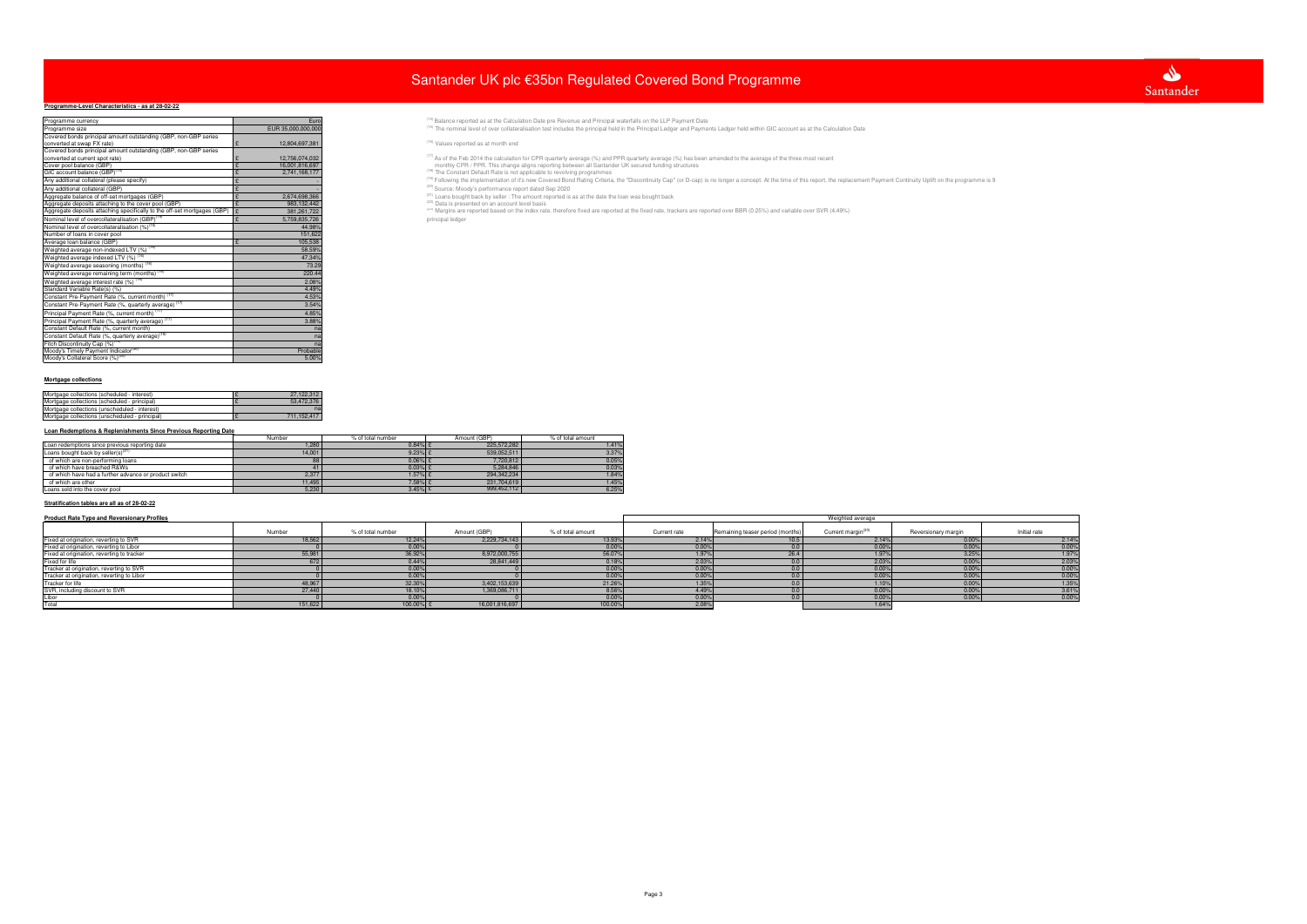# **Programme-Level Characteristics - as at 28-02-22**

- 
- 
- 
- 
- 
- 

| Programme currency                                                                     | Euro               | <sup>(14)</sup> Balance reported as at the Calculation Date pre Revenue and Principal waterfalls on the LLP Payment Date                                                                                                                |
|----------------------------------------------------------------------------------------|--------------------|-----------------------------------------------------------------------------------------------------------------------------------------------------------------------------------------------------------------------------------------|
| Programme size                                                                         | EUR 35,000,000,000 | <sup>(15)</sup> The nominal level of over collateralisation test includes the principal held in the Principal Ledger and Payments Ledger held within GIC account as at the Calculation Date                                             |
| Covered bonds principal amount outstanding (GBP, non-GBP series                        |                    |                                                                                                                                                                                                                                         |
| converted at swap FX rate)                                                             | 12,804,697,381     | $(16)$ Values reported as at month end                                                                                                                                                                                                  |
| Covered bonds principal amount outstanding (GBP, non-GBP series                        |                    |                                                                                                                                                                                                                                         |
| converted at current spot rate)                                                        | 12,756,074,032     | <sup>(17)</sup> As of the Feb 2014 the calculation for CPR quarterly average (%) and PPR quarterly average (%) has been amended to the average of the three most recent                                                                 |
| Cover pool balance (GBP)                                                               | 16,001,816,697     | monthly CPR / PPR. This change aligns reporting between all Santander UK secured funding structures                                                                                                                                     |
| GIC account balance (GBP) <sup>(14)</sup>                                              | 2,741,168,177      | <sup>(18)</sup> The Constant Default Rate is not applicable to revolving programmes                                                                                                                                                     |
| Any additional collateral (please specify)                                             |                    | <sup>(19)</sup> Following the implementation of it's new Covered Bond Rating Criteria, the "Discontinuity Cap" (or D-cap) is no longer a concept. At the time of this report, the replacement Payment Continuity Uplift on the programm |
| Any additional collateral (GBP)                                                        |                    | (20) Source: Moody's performance report dated Sep 2020                                                                                                                                                                                  |
| Aggregate balance of off-set mortgages (GBP)                                           | 2.674.698.366      | <sup>(21)</sup> Loans bought back by seller : The amount reported is as at the date the loan was bought back                                                                                                                            |
| Aggregate deposits attaching to the cover pool (GBP)                                   | 983,132,442        | (22) Data is presented on an account level basis                                                                                                                                                                                        |
| Aggregate deposits attaching specifically to the off-set mortgages (GBP) $\mathcal{E}$ | 381.261.722        | <sup>(23)</sup> Margins are reported based on the index rate, therefore fixed are reported at the fixed rate, trackers are reported over BBR (0.25%) and variable over SVR (4.49%)                                                      |
| Nominal level of overcollateralisation (GBP) <sup>(1</sup>                             | 5,759,835,726      | principal ledger                                                                                                                                                                                                                        |
| Nominal level of overcollateralisation (%) <sup>(15)</sup>                             | 44.98%             |                                                                                                                                                                                                                                         |
| Number of loans in cover pool                                                          | 151,622            |                                                                                                                                                                                                                                         |
| Average loan balance (GBP)                                                             | 105,538            |                                                                                                                                                                                                                                         |
| Weighted average non-indexed LTV (%) <sup>(16)</sup>                                   | 58.59%             |                                                                                                                                                                                                                                         |
| Weighted average indexed LTV (%) (16)                                                  | 47.34%             |                                                                                                                                                                                                                                         |
| Weighted average seasoning (months) <sup>(16)</sup>                                    | 73.29              |                                                                                                                                                                                                                                         |
| Weighted average remaining term (months) <sup>(1)</sup>                                | 220.44             |                                                                                                                                                                                                                                         |
| Weighted average interest rate (%) (16)                                                | 2.08%              |                                                                                                                                                                                                                                         |
| Standard Variable Rate(s) (%)                                                          | 4.49%              |                                                                                                                                                                                                                                         |
| Constant Pre-Payment Rate (%, current month) (17)                                      | 4.53%              |                                                                                                                                                                                                                                         |
| Constant Pre-Payment Rate (%, quarterly average) <sup>(17)</sup>                       | 3.54%              |                                                                                                                                                                                                                                         |
| Principal Payment Rate (%, current month) (17                                          | 4.85%              |                                                                                                                                                                                                                                         |
| Principal Payment Rate (%, quarterly average) <sup>(17</sup>                           | 3.88%              |                                                                                                                                                                                                                                         |
| Constant Default Rate (%, current month)                                               |                    |                                                                                                                                                                                                                                         |
| Constant Default Rate (%, quarterly average) <sup>(18</sup>                            |                    |                                                                                                                                                                                                                                         |
| Fitch Discontinuity Cap (%) <sup>(19)</sup>                                            |                    |                                                                                                                                                                                                                                         |
| Moody's Timely Payment Indicator <sup>(20)</sup>                                       | Probable           |                                                                                                                                                                                                                                         |
| Moody's Collateral Score (%) <sup>(20)</sup>                                           | 5.00%              |                                                                                                                                                                                                                                         |
|                                                                                        |                    |                                                                                                                                                                                                                                         |

### **Mortgage collections**

| Mortgage collections (scheduled - interest)    | 27.122.312  |
|------------------------------------------------|-------------|
| Mortgage collections (scheduled - principal)   | 53.472.376  |
| Mortgage collections (unscheduled - interest)  | na          |
| Mortgage collections (unscheduled - principal) | 711.152.417 |

## **Loan Redemptions & Replenishments Since Previous Reporting Date**

|                                                       | Number | % of total number | Amount (GBP) | % of total amount |
|-------------------------------------------------------|--------|-------------------|--------------|-------------------|
| Loan redemptions since previous reporting date        | 1,280  | $0.84\%$ {        | 225.572.282  | 1.41%             |
| Loans bought back by seller(s) $(21)$                 | 14,001 | $9.23%$ £         | 539,052,511  | 3.37%             |
| of which are non-performing loans                     | 88     | $0.06\%$ {        | 7,720,812    | 0.05%             |
| of which have breached R&Ws                           |        | $0.03%$ \$        | 5.284.846    | 0.03%             |
| of which have had a further advance or product switch | 2,377  | $1.57\%$ £        | 294.342.234  | 1.84%             |
| of which are other                                    | 11,495 | 7.58% £           | 231.704.619  | 1.45%             |
| Loans sold into the cover pool                        | 5,230  | $3.45\%$ £        | 999,452,112  | 6.25%             |

## **Stratification tables are all as of 28-02-22**

| <b>Product Rate Type and Reversionary Profiles</b> |         |                   |                | Weighted average  |              |                                  |                             |                     |                         |
|----------------------------------------------------|---------|-------------------|----------------|-------------------|--------------|----------------------------------|-----------------------------|---------------------|-------------------------|
|                                                    | Number  | % of total number | Amount (GBP)   | % of total amount | Current rate | Remaining teaser period (months) | Current margin <sup>(</sup> | Reversionary margin | Initial rate            |
| Fixed at origination, reverting to SVR             | 18,562  | 12.24%            | 2,229,734,143  | 13.93%            | 2.14%        | 10.5                             | 2.14%                       | 0.00%               | 2.14%                   |
| Fixed at origination, reverting to Libor           |         | 0.00%             |                | 0.00%             | 0.00%        |                                  | 0.00%                       | 0.00%               | 0.00%                   |
| Fixed at origination, reverting to tracker         | 55,981  | 36.92%            | 8,972,000,755  | 56.07%            | 1.97%        | 26.4                             | 1.97%                       | 3.25%               | 1.97%                   |
| Fixed for life                                     | 672     | 0.44%             | 28,841,449     | 0.18%             | 2.03%        |                                  | 2.03%                       | 0.00%               | 2.03%                   |
| Tracker at origination, reverting to SVR           |         | 0.00%             |                | 0.00%             | 0.00%        |                                  | 0.00%                       | 0.00%               | 0.00%                   |
| Tracker at origination, reverting to Libor         |         | 0.00%             |                | 0.00%             | 0.00%        |                                  | 0.00%                       | 0.00%               | $\frac{0.00\%}{1.35\%}$ |
| Tracker for life                                   | 48,967  | 32.30%            | 3,402,153,639  | 21.26%            | 1.35%        |                                  | 1.10%                       | 0.00%               |                         |
| SVR, including discount to SVR                     | 27,440  | 18.10%            | 1,369,086,711  | 8.56%             | 4.49%        |                                  | 0.00%                       | 0.00%               | 3.61%                   |
| Libor                                              |         | 0.00%             |                | 0.00%             | 0.00%        |                                  | 0.00%                       | 0.00%               | 0.00%                   |
| Total                                              | 151,622 | 100.00% £         | 16,001,816,697 | 100.00%           | 2.08%        |                                  | 1.64%                       |                     |                         |

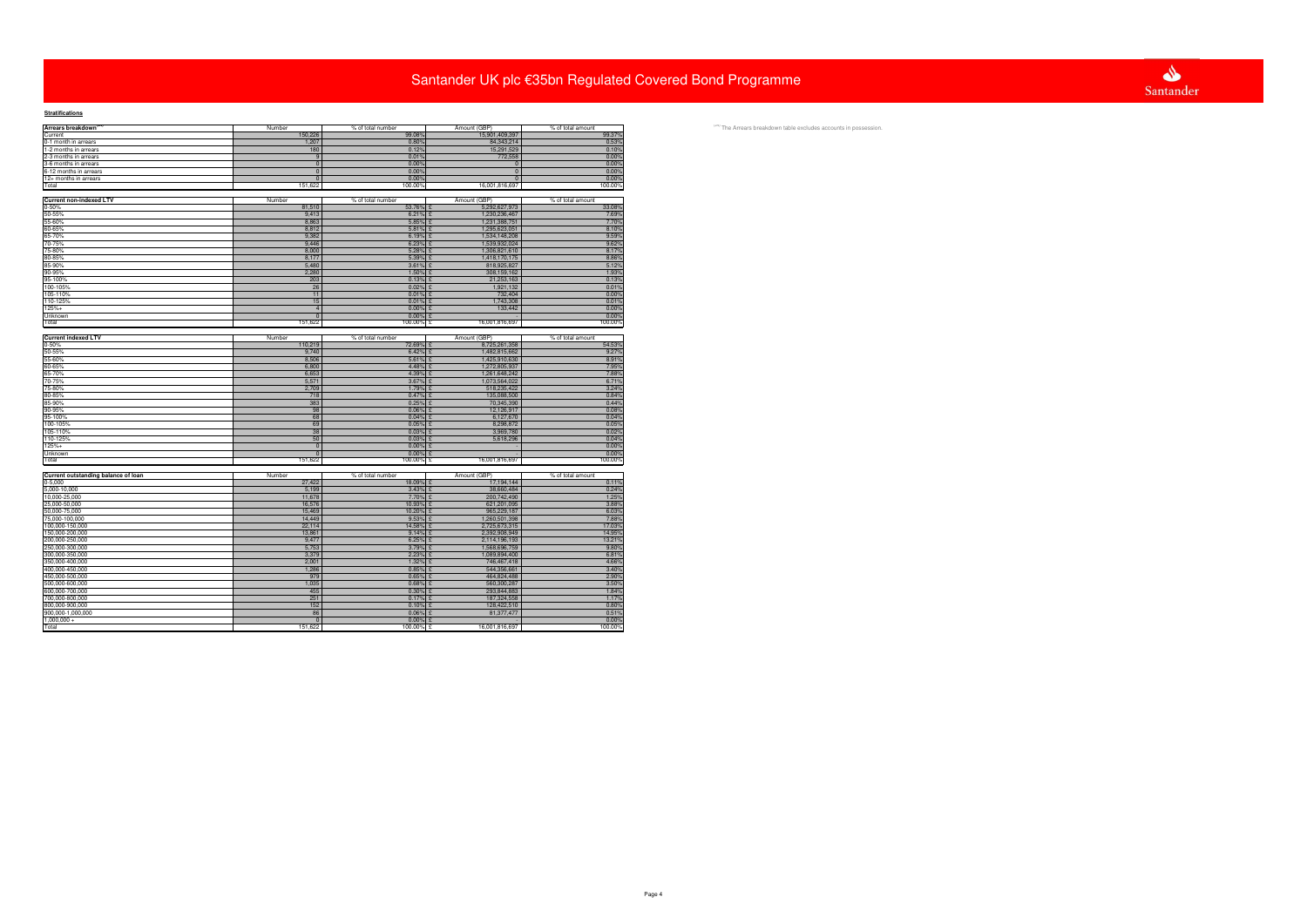| Arrears breakdown <sup>(24)</sup>   | Number            | % of total number | Amount (GBP)                   | % of total amount |
|-------------------------------------|-------------------|-------------------|--------------------------------|-------------------|
| Current                             | 150,226           | 99.08%            | 15,901,409,397                 | 99.37%            |
| 0-1 month in arrears                | 1,207             | 0.80%             | 84,343,214                     | 0.53%             |
| 1-2 months in arrears               | 180               | 0.12%             | 15,291,529                     | 0.10%             |
| 2-3 months in arrears               | 9                 | 0.01%             | 772,558                        | 0.00%             |
| 3-6 months in arrears               | $\overline{0}$    | 0.00%             | $\pmb{0}$                      | 0.00%             |
| 6-12 months in arrears              | $\mathbf 0$       | 0.00%             | $\overline{\mathbf{0}}$        | 0.00%             |
| 12+ months in arrears               | $\overline{0}$    | 0.00%             | $\overline{0}$                 | 0.00%             |
| Total                               | 151,622           | 100.00%           | 16,001,816,697                 | 100.00%           |
|                                     |                   |                   |                                |                   |
| <b>Current non-indexed LTV</b>      | Number            | % of total number | Amount (GBP)                   | % of total amount |
| 0-50%                               | 81,510            | 53.76%            | 5,292,627,973                  | 33.08%            |
| 50-55%<br>55-60%                    | 9,413             | 6.21%             | 1,230,236,467<br>£             | 7.69%             |
|                                     | 8,863             | 5.85%             | 1,231,388,751                  | 7.70%             |
| 60-65%                              | 8,812             | 5.81%             | 1,295,623,051                  | 8.10%             |
| 65-70%                              | 9,382             | 6.19%             | 1,534,148,208<br>£             | 9.59%             |
| 70-75%                              | 9,446             | 6.23%             | 1,539,932,024<br>£             | 9.62%             |
| 75-80%                              | 8,000             | 5.28%             | 1,306,821,610<br>£             | 8.17%             |
| 80-85%                              | 8,177             | 5.39%             | 1,418,170,175<br>£             | 8.86%             |
| 85-90%                              | 5,480             | 3.61%             | 818,925,827<br>£               | 5.12%             |
| 90-95%                              | 2,280             | 1.50%             | 308,159,162<br>£               | 1.93%             |
| 95-100%                             | 203               | 0.13%             | £<br>21,253,163                | 0.13%             |
| 100-105%                            | 26                | 0.02%             | 1,921,132<br>$\mathcal{F}$     | 0.01%             |
| 105-110%                            | 11                | 0.01%             | 732,404<br>$\mathcal{L}$       | 0.00%             |
| 110-125%                            | 15                | 0.01%             | 1,743,308                      | 0.01%             |
| $125% +$                            | $\overline{4}$    | 0.00%             | 133,442<br>£                   | 0.00%             |
| Unknown                             | $\mathbf{0}$      | 0.00%             | £                              | 0.00%             |
| Total                               | 151,622           | 100.00% £         | 16,001,816,697                 | 100.00%           |
|                                     |                   |                   |                                |                   |
| <b>Current indexed LTV</b>          | Number            | % of total number | Amount (GBP)                   | % of total amount |
| $0 - 50%$                           | 110,219           | 72.69%            | 8,725,261,358                  | 54.53%            |
| 50-55%                              | 9,740             | 6.42%             | 1,482,815,662<br>ç             | 9.27%             |
| 55-60%                              | 8,506             | 5.61%             | 1,425,910,630                  | 8.91%             |
| 60-65%                              | 6,800             | 4.48%             | 1,272,805,937                  | 7.95%             |
| 65-70%<br>70-75%<br>75-80%          | 6,653             | 4.39%             | 1,261,648,242                  | 7.88%             |
|                                     | 5,571             | 3.67%             | 1,073,564,022                  | 6.71%             |
|                                     | 2,709             | 1.79%             | 518,235,422                    | 3.24%             |
| 80-85%                              | 718               | 0.47%             | 135,088,500<br>£               | 0.84%             |
| 85-90%                              | 383               | 0.25%             | 70,345,390<br>£                | 0.44%             |
| 90-95%                              | 98                | 0.06%             | 12,126,917<br>£                | 0.08%             |
| 95-100%                             | 68                | 0.04%             | 6,127,670                      | 0.04%             |
| 100-105%                            | 69                | 0.05%             | 8,298,872<br>£                 | 0.05%             |
| 105-110%                            | 38                | 0.03%             | 3,969,780<br>£<br>$\mathbf{F}$ | 0.02%             |
| 110-125%<br>$125% +$                | 50<br>$\mathbf 0$ | 0.03%<br>0.00%    | 5,618,296<br>£                 | 0.04%             |
|                                     | $\overline{0}$    | 0.00%             |                                | 0.00%<br>0.00%    |
| Unknown<br>Total                    | 151,622           | 100.00% £         | 16,001,816,697                 | 100.00%           |
|                                     |                   |                   |                                |                   |
| Current outstanding balance of loan | Number            | % of total number | Amount (GBP)                   | % of total amount |
| $0 - 5,000$                         | 27,422            | 18.09%            | 17,194,144<br>£                | 0.11%             |
| 5,000-10,000                        | 5,199             | 3.43%             | 38,660,484<br>£                | 0.24%             |
| 10,000-25,000                       | 11,678            | 7.70%             | 200,742,490<br>£               | 1.25%             |
| 25,000-50,000                       | 16,576            | 10.93%            | 621,201,095<br>£               | 3.88%             |
| 50,000-75,000                       | 15,469            | 10.20%            | 965,229,187<br>£               | 6.03%             |
| 75,000-100,000                      | 14,449            | 9.53%             | 1,260,501,398<br>ç             | 7.88%             |
| 100,000-150,000                     | 22,114            | 14.58%            | 2,725,673,315<br>£             | 17.03%            |
| 150,000-200,000                     | 13,861            | 9.14%             | 2,392,908,949                  | 14.95%            |
| 200,000-250,000                     | 9,477             | 6.25%             | 2,114,196,193                  | 13.21%            |
| 250,000-300,000                     | 5,753             | 3.79%             | 1,568,696,759                  | 9.80%             |
| 300,000-350,000                     | 3,379             | 2.23%             | 1,089,894,400<br>£             | 6.81%             |
| 350,000-400,000                     | 2,001             | 1.32%             | 746,467,418<br>£               | 4.66%             |
| 400,000-450,000                     | 1,286             | 0.85%             | 544,356,661<br>£               | 3.40%             |
| 450,000-500,000                     | 979               | 0.65%             | 464,824,488                    | 2.90%             |
| 500,000-600,000                     | 1,035             | 0.68%             | 560,300,287                    | 3.50%             |
| 600,000-700,000                     | 455               | 0.30%             | 293,844,883<br>£               | 1.84%             |
| 700,000-800,000                     | 251               | 0.17%             | 187,324,558<br>$\mathcal{L}$   | 1.17%             |
| 800,000-900,000                     | 152               | 0.10%             | 128,422,510                    | 0.80%             |
| 900,000-1,000,000                   | 86                | 0.06%             | 81,377,477                     | 0.51%             |
| $1,000,000 +$                       | $\mathbf 0$       | 0.00%             |                                | 0.00%             |
| Total                               | 151,622           | 100.00%           | 16,001,816,697<br>£            | 100.00%           |
|                                     |                   |                   |                                |                   |

<sup>(24)</sup> The Arrears breakdown table excludes accounts in possession.

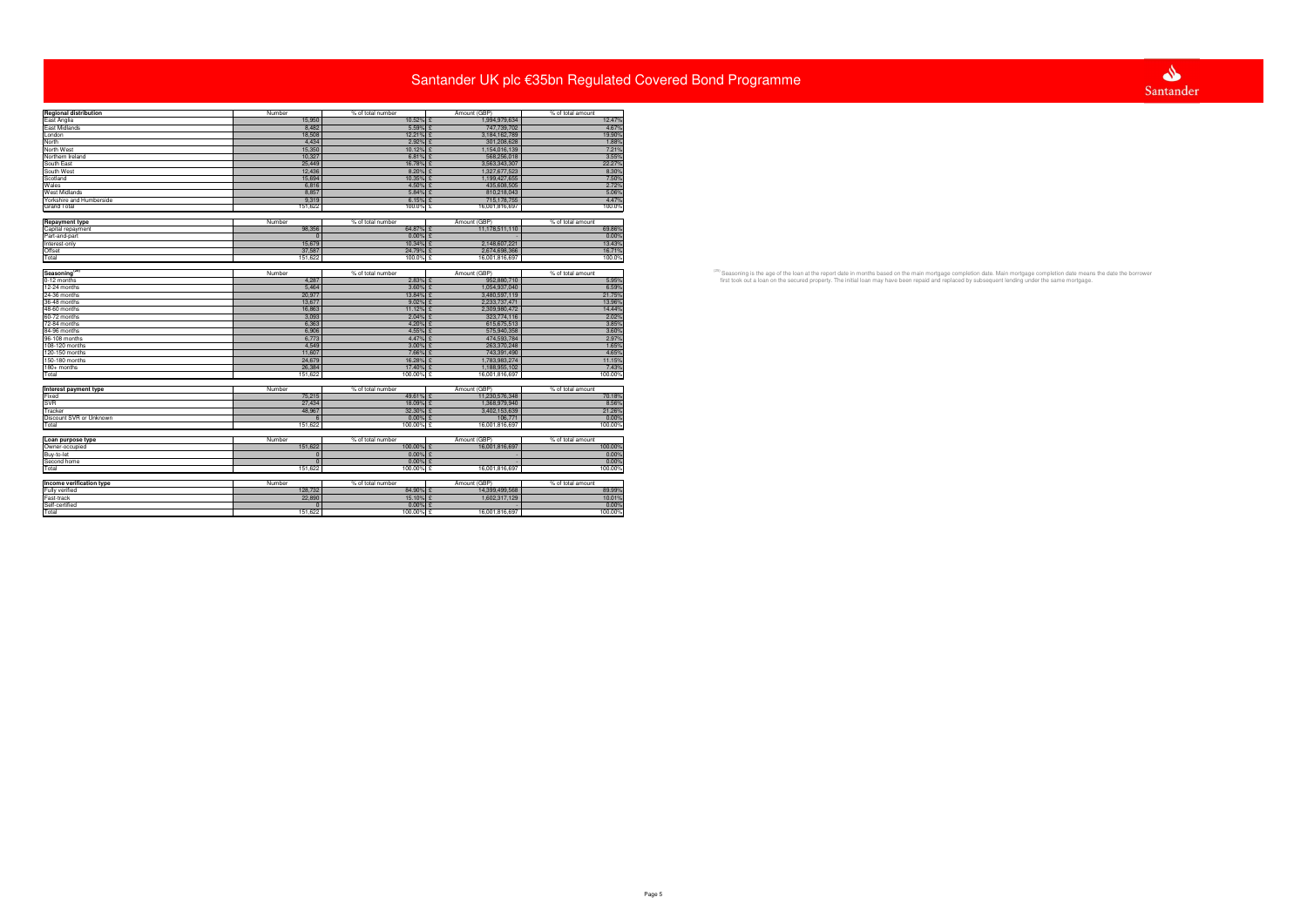| <b>Regional distribution</b> | Number         | % of total number | Amount (GBP)   | % of total amount |
|------------------------------|----------------|-------------------|----------------|-------------------|
| East Anglia                  | 15,950         | 10.52% £          | 1,994,979,634  | 12.47%            |
| East Midlands                | 8,482          | 5.59% £           | 747,739,702    | 4.67%             |
|                              | 18,508         | 12.21% £          | 3,184,162,789  | 19.90%            |
| London<br>North              | 4.434          |                   |                |                   |
|                              |                | $2.92\%$ \$       | 301,208,628    | 1.88%             |
| North West                   | 15,350         | 10.12% £          | 1,154,016,139  | 7.21%             |
| Northern Ireland             | 10,327         | $6.81\%$ £        | 568,256,018    | 3.55%             |
| South East                   | 25,449         | 16.78% £          | 3,563,343,307  | 22.27%            |
| South West                   | 12,436         | 8.20%             | 1,327,677,523  | 8.30%             |
| Scotland                     | 15,694         | 10.35% £          | 1,199,427,655  | 7.50%             |
| Wales                        | 6,816          | 4.50%             | 435,608,505    | 2.72%             |
| <b>West Midlands</b>         | 8,857          | $5.84\%$ £        | 810,218,043    | 5.06%             |
| Yorkshire and Humberside     | 9.319          | $6.15%$ £         | 715,178,755    | 4.47%             |
| <b>Grand Total</b>           | 151.622        | 100.0% £          | 16,001,816,697 | 100.0%            |
|                              |                |                   |                |                   |
|                              |                |                   |                |                   |
| <b>Repayment type</b>        | Number         | % of total number | Amount (GBP)   | % of total amount |
| Capital repayment            | 98,356         | 64.87% £          | 11,178,511,110 | 69.86%            |
| Part-and-part                | - 0            | $0.00\%$ £        |                | 0.00%             |
| Interest-only                | 15,679         | 10.34% £          | 2,148,607,221  | 13.43%            |
| Offset                       | 37,587         | 24.79%            | 2.674.698.366  | 16.71%            |
| Total                        | 151,622        | 100.0% £          | 16,001,816,697 | 100.0%            |
|                              |                |                   |                |                   |
| Seasoning <sup>(25)</sup>    |                |                   | Amount (GBP)   |                   |
|                              | Number         | % of total number |                | % of total amount |
| 0-12 months                  | 4,287          | $2.83%$ £         | 952,880,710    | 5.95%             |
| 12-24 months                 | 5.464          | $3.60\%$ £        | 1,054,937,040  | 6.59%             |
| 24-36 months                 | 20.977         | 13.84%            | 3,480,597,119  | 21.75%            |
| 36-48 months                 | 13,677         | $9.02\%$ £        | 2,233,737,471  | 13.96%            |
| 48-60 months                 | 16,863         | $11.12\%$         | 2,309,980,472  | 14.44%            |
| 60-72 months                 | 3,093          | $2.04\%$ \$       | 323,774,116    | 2.02%             |
| 72-84 months                 | 6,363          | 4.20% £           | 615,675,513    | 3.85%             |
| 84-96 months                 | 6.906          | 4.55% £           | 575,940,358    | 3.60%             |
|                              |                |                   |                |                   |
| 96-108 months                | 6,773          | 4.47% £           | 474,593,784    | 2.97%             |
| 108-120 months               | 4,549          | $3.00\%$ £        | 263,370,248    | 1.65%             |
| 120-150 months               | 11,607         | 7.66% £           | 743,391,490    | 4.65%             |
| 150-180 months               | 24,679         | 16.28% £          | 1,783,983,274  | 11.15%            |
| $180+$ months                | 26,384         | 17.40% £          | 1.188.955.102  | 7.43%             |
| Total                        | 151,622        | 100.00% £         | 16,001,816,697 | 100.00%           |
|                              |                |                   |                |                   |
|                              |                |                   |                |                   |
| Interest payment type        | Number         | % of total number | Amount (GBP)   | % of total amount |
| Fixed                        | 75,215         | 49.61% £          | 11,230,576,348 | 70.18%            |
| <b>SVR</b>                   | 27,434         | 18.09% £          | 1,368,979,940  | 8.56%             |
| Tracker                      | 48.967         | 32.30% £          | 3,402,153,639  | 21.26%            |
| Discount SVR or Unknown      |                | $0.00\%$          | 106,771        | 0.00%             |
| Total                        | 151,622        | 100.00% £         | 16,001,816,697 | 100.00%           |
|                              |                |                   |                |                   |
| Loan purpose type            | Number         | % of total number | Amount (GBP)   | % of total amount |
| Owner-occupied               | 151,622        | 100.00% £         | 16,001,816,697 |                   |
|                              |                |                   |                | 100.00%           |
| Buy-to-let                   | $\overline{0}$ | $0.00\%$ £        |                | 0.00%             |
| Second home                  | $\Omega$       | $0.00\%$ £        |                | 0.00%             |
| Total                        | 151,622        | 100.00% £         | 16,001,816,697 | 100.00%           |
|                              |                |                   |                |                   |
| Income verification type     | Number         | % of total number | Amount (GBP)   | % of total amount |
| Fully verified               | 128,732        | 84.90% £          | 14,399,499,568 | 89.99%            |
|                              |                |                   |                |                   |
| Fast-track                   | 22,890         | 15.10% £          | 1,602,317,129  | 10.01%            |
| Self-certified               |                | $0.00\%$ {        |                | 0.00%             |
| Total                        | 151.622        | 100.00%           | 16,001,816,697 | 100.00%           |
|                              |                |                   |                |                   |

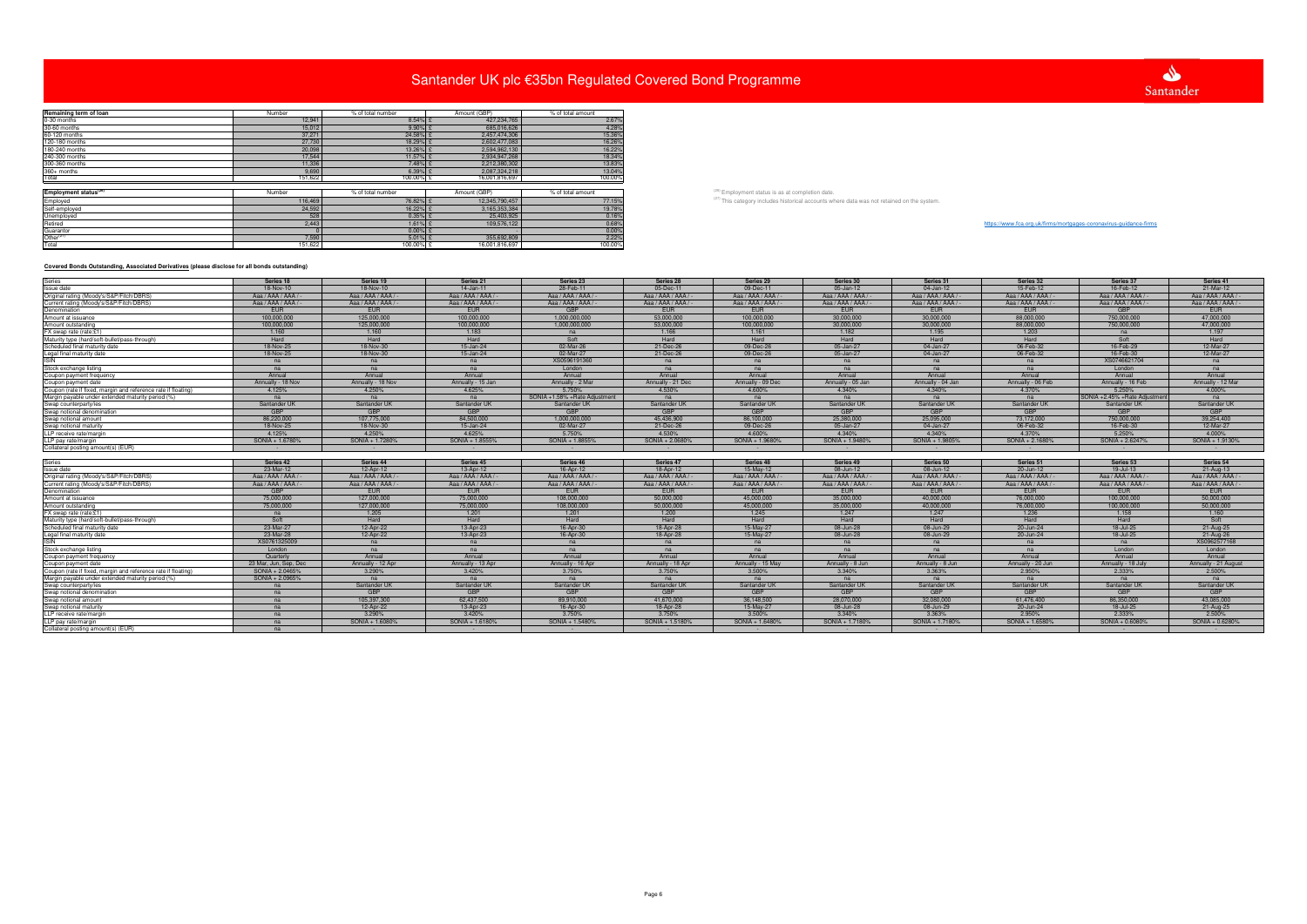| Remaining term of loan            | Number  | % of total number | Amount (GBP)   | % of total amount |
|-----------------------------------|---------|-------------------|----------------|-------------------|
| 0-30 months                       | 12,941  | $8.54\%$ £        | 427,234,765    | 2.67%             |
| 30-60 months                      | 15,012  | $9.90\%$ £        | 685,016,626    | 4.28%             |
| 60-120 months                     | 37,271  | 24.58% £          | 2,457,474,306  | 15.36%            |
| 120-180 months                    | 27,730  | 18.29% £          | 2,602,477,083  | 16.26%            |
| 180-240 months                    | 20,098  | 13.26% £          | 2,594,962,130  | 16.22%            |
| 240-300 months                    | 17,544  | 11.57% £          | 2,934,947,268  | 18.34%            |
| 300-360 months                    | 11,336  | 7.48% £           | 2,212,380,302  | 13.83%            |
| 360+ months                       | 9,690   | 6.39% £           | 2,087,324,218  | 13.04%            |
| Total                             | 151,622 | 100.00% £         | 16,001,816,697 | 100.00%           |
|                                   |         |                   |                |                   |
| Employment status <sup>(26)</sup> | Number  | % of total number | Amount (GBP)   | % of total amount |
| Employed                          | 116,469 | 76.82% £          | 12,345,790,457 | 77.15%            |
| Self-employed                     | 24,592  | 16.22% £          | 3,165,353,384  | 19.78%            |
| Unemployed                        | 528     | $0.35%$ £         | 25,403,925     | 0.16%             |
| Retired                           | 2,443   | 1.61% £           | 109,576,122    | 0.68%             |
| Guarantor                         |         | $0.00\%$ £        |                | 0.00%             |
| Other <sup>(27)</sup><br>Total    | 7,590   | $5.01\%$ £        | 355,692,809    | 2.22%             |
|                                   | 151,622 | 100.00% £         | 16,001,816,697 | 100.00%           |

# https://www.fca.org.uk/firms/mortgages-coronavirus-guidance-firms

## **Covered Bonds Outstanding, Associated Derivatives (please disclose for all bonds outstanding)**

|                                               | <b>JULIES JU</b>    | JEHES JI            | <b>JULIES JE</b>    | <b>JEIRS JI</b>               | <b>JULIES</b> 41     |
|-----------------------------------------------|---------------------|---------------------|---------------------|-------------------------------|----------------------|
|                                               | 05-Jan-12           | 04-Jan-12           | 15-Feb-12           | 16-Feb-12                     | 21-Mar-12            |
| $AA/-$                                        | Aaa / AAA / AAA / - | Aaa / AAA / AAA / - | Aaa / AAA / AAA / - | Aaa / AAA / AAA / -           | Aaa / AAA / AAA / -  |
| $AA/-$                                        | Aaa / AAA / AAA / - | Aaa / AAA / AAA / - | Aaa / AAA / AAA / - | Aaa / AAA / AAA / -           | Aaa / AAA / AAA / -  |
|                                               | <b>EUR</b>          | <b>EUR</b>          | <b>EUR</b>          | <b>GBP</b>                    | <b>EUR</b>           |
| $\overline{00}$                               | 30.000.000          | 30.000.000          | 88.000.000          | 750,000,000                   | 47.000.000           |
| 00                                            | 30.000.000          | 30.000.000          | 88,000,000          | 750,000,000                   | 47.000.000           |
|                                               | 1.182               | 1.195               | 1.203               | na                            | 1.197                |
|                                               | Hard                | Hard                | Hard                | Soft                          | Hard                 |
| 6                                             | 05-Jan-27           | 04-Jan-27           | 06-Feb-32           | 16-Feb-29                     | 12-Mar-27            |
|                                               | 05-Jan-27           | 04-Jan-27           | 06-Feb-32           | 16-Feb-30                     | 12-Mar-27            |
|                                               | na                  | na                  | na                  | XS0746621704                  | na                   |
|                                               | na                  | na                  | na                  | London                        | na                   |
|                                               | Annual              | Annual              | Annual              | Annual                        | Annual               |
| Dec                                           | Annually - 05 Jan   | Annually - 04 Jan   | Annually - 06 Feb   | Annually - 16 Feb             | Annually - 12 Mar    |
|                                               | 4.340%              | 4.340%              | 4.370%              | 5.250%                        | 4.000%               |
|                                               | na                  | na                  | na                  | SONIA +2.45% +Rate Adjustment | na                   |
| UK                                            | Santander UK        | Santander UK        | Santander UK        | Santander UK                  | Santander UK         |
|                                               | <b>GBP</b>          | GBP                 | <b>GBP</b>          | <b>GBP</b>                    | <b>GBP</b>           |
| $\overline{10}$                               | 25,380,000          | 25,095,000          | 73,172,000          | 750,000,000                   | 39,254,400           |
| 6                                             | 05-Jan-27           | 04-Jan-27           | 06-Feb-32           | 16-Feb-30                     | 12-Mar-27            |
|                                               | 4.340%              | 4.340%              | 4.370%              | 5.250%                        | 4.000%               |
| 80%                                           | SONIA + 1.9480%     | SONIA + 1.9805%     | SONIA + 2.1680%     | SONIA + 2.6247%               | SONIA + 1.9130%      |
|                                               |                     |                     |                     |                               | ×.                   |
|                                               |                     |                     |                     |                               |                      |
|                                               | Series 49           | Series 50           | Series 51           | Series 53                     | Series 54            |
| $\frac{5}{2}$                                 | 08-Jun-12           | 08-Jun-12           | 20-Jun-12           | 19-Jul-13                     | $21-Auq-13$          |
| $AA/-$                                        | Aaa / AAA / AAA / - | Aaa / AAA / AAA / - | Aaa / AAA / AAA / - | Aaa / AAA / AAA / -           | Aaa / AAA / AAA / -  |
| $AA/-$                                        | Aaa / AAA / AAA / - | Aaa / AAA / AAA / - | Aaa / AAA / AAA / - | Aaa / AAA / AAA / -           | Aaa / AAA / AAA / -  |
|                                               | <b>EUR</b>          | <b>EUR</b>          | EUR.                | <b>EUR</b>                    | <b>EUR</b>           |
| O                                             | 35,000,000          | 40.000.000          | 76,000,000          | 100.000.000                   | 50,000,000           |
| $\overline{0}$                                | 35,000,000          | 40.000.000          | 76,000,000          | 100,000,000                   | 50,000,000           |
|                                               | 1.247               | 1.247               |                     |                               |                      |
|                                               |                     |                     |                     |                               |                      |
| $\overline{7}$                                |                     |                     | 1.236               | 1.158                         | 1.160                |
|                                               | Hard                | Hard                | Hard                | Hard                          | Soft                 |
|                                               | 08-Jun-28           | 08-Jun-29           | 20-Jun-24           | 18-Jul-25                     | 21-Aug-25            |
|                                               | 08-Jun-28           | 08-Jun-29           | 20-Jun-24           | 18-Jul-25                     | 21-Aug-26            |
|                                               | na                  | na                  | na                  | na                            | XS0962577168         |
|                                               | na                  | na                  | na                  | London                        | London               |
|                                               | Annual              | Annual              | Annual              | Annual                        | Annual               |
|                                               | Annually - 8 Jun    | Annually - 8 Jun    | Annually - 20 Jun   | Annually - 18 July            | Annually - 21 August |
|                                               | 3.340%              | 3.363%              | 2.950%              | 2.333%                        | 2.500%               |
|                                               | na                  | na                  | na                  | na                            | na                   |
|                                               | Santander UK        | Santander UK        | Santander UK        | Santander UK                  | Santander UK         |
|                                               | <b>GBP</b>          | <b>GBP</b>          | <b>GBP</b>          | <b>GBP</b>                    | <b>GBP</b>           |
|                                               | 28,070,000          | 32,080,000          | 61,476,400          | 86,350,000                    | 43,085,000           |
|                                               | 08-Jun-28           | 08-Jun-29           | 20-Jun-24           | 18-Jul-25                     | 21-Aug-25            |
|                                               | 3.340%              | 3.363%              | 2.950%              | 2.333%                        | 2.500%               |
| 7<br>May<br>UK<br>O<br>$\overline{7}$<br>180% | SONIA + 1.7180%     | SONIA + 1.7180%     | SONIA + 1.6580%     | SONIA + 0.6080%               | SONIA + 0.6280%      |

|                                                                                                                                                                                                                                              |                       |                     |                     | Santander UK plc €35bn Regulated Covered Bond Programme |                     |                                                  |                                                                                                       |                     |                     | Santander                                                         |                     |
|----------------------------------------------------------------------------------------------------------------------------------------------------------------------------------------------------------------------------------------------|-----------------------|---------------------|---------------------|---------------------------------------------------------|---------------------|--------------------------------------------------|-------------------------------------------------------------------------------------------------------|---------------------|---------------------|-------------------------------------------------------------------|---------------------|
| Remaining term of loan                                                                                                                                                                                                                       | Number                | % of total number   | Amount (GBP)        | % of total amount                                       |                     |                                                  |                                                                                                       |                     |                     |                                                                   |                     |
| 0-30 months                                                                                                                                                                                                                                  | 12,941                | 8.54%               | 427,234,765         | 2.67%                                                   |                     |                                                  |                                                                                                       |                     |                     |                                                                   |                     |
| 30-60 months                                                                                                                                                                                                                                 | 15,012                | 9.90%               | 685,016,626         | 4.28%                                                   |                     |                                                  |                                                                                                       |                     |                     |                                                                   |                     |
|                                                                                                                                                                                                                                              | 37,271                | 24.58%              | 2,457,474,306       | 15.36%                                                  |                     |                                                  |                                                                                                       |                     |                     |                                                                   |                     |
| 60-120 months<br>120-180 months                                                                                                                                                                                                              | 27,730                | 18.29%              | 2.602.477.083       | 16.26%                                                  |                     |                                                  |                                                                                                       |                     |                     |                                                                   |                     |
|                                                                                                                                                                                                                                              | 20.098                | 13.26%              | 2.594.962.130       | 16.22%                                                  |                     |                                                  |                                                                                                       |                     |                     |                                                                   |                     |
|                                                                                                                                                                                                                                              | 17,544                | 11.57%              | 2,934,947,268       | 18.34%                                                  |                     |                                                  |                                                                                                       |                     |                     |                                                                   |                     |
|                                                                                                                                                                                                                                              | 11,336                | 7.48%               | 2,212,380,302       | 13.83%                                                  |                     |                                                  |                                                                                                       |                     |                     |                                                                   |                     |
|                                                                                                                                                                                                                                              | 9,690                 | 6.39%               | 2,087,324,218       | 13.04%                                                  |                     |                                                  |                                                                                                       |                     |                     |                                                                   |                     |
| 180-240 months<br>180-240 months<br>240-300 months<br>300-360 months<br>360+ months                                                                                                                                                          | 51,622                | 00.00%              | 16,001,816,697      | 100.00%                                                 |                     |                                                  |                                                                                                       |                     |                     |                                                                   |                     |
|                                                                                                                                                                                                                                              |                       |                     |                     |                                                         |                     |                                                  |                                                                                                       |                     |                     |                                                                   |                     |
|                                                                                                                                                                                                                                              | Number                | % of total number   | Amount (GBP)        | % of total amount                                       |                     | (26) Employment status is as at completion date. |                                                                                                       |                     |                     |                                                                   |                     |
|                                                                                                                                                                                                                                              | 116,469               | 76.82%              | 12,345,790,457      | 77.15%                                                  |                     |                                                  | <sup>(27)</sup> This category includes historical accounts where data was not retained on the system. |                     |                     |                                                                   |                     |
|                                                                                                                                                                                                                                              | 24,592                | 16.22%              | 3.165.353.384       | 19.78%                                                  |                     |                                                  |                                                                                                       |                     |                     |                                                                   |                     |
|                                                                                                                                                                                                                                              | 528                   | 0.35%               | 25,403,925          | 0.16%                                                   |                     |                                                  |                                                                                                       |                     |                     |                                                                   |                     |
|                                                                                                                                                                                                                                              | 2,443                 | 1.61%               | 109,576,122         | 0.68%                                                   |                     |                                                  |                                                                                                       |                     |                     | https://www.fca.org.uk/firms/mortgages-coronavirus-guidance-firms |                     |
|                                                                                                                                                                                                                                              |                       | 0.00%               |                     | 0.00%                                                   |                     |                                                  |                                                                                                       |                     |                     |                                                                   |                     |
|                                                                                                                                                                                                                                              | 7.590                 | 5.01%               | 355,692,809         | 2.22%                                                   |                     |                                                  |                                                                                                       |                     |                     |                                                                   |                     |
| Employment status <sup>tas</sup><br>Employed<br>Self-employed<br>Unemployed<br>Totarantor<br>Guarantor<br>Other <sup>iczy</sup><br>Total                                                                                                     | 151.622               | $100.00\%$ {        | 16.001.816.697      | 100.00%                                                 |                     |                                                  |                                                                                                       |                     |                     |                                                                   |                     |
| Covered Bonds Outstanding, Associated Derivatives (please disclose for all bonds outstanding)                                                                                                                                                |                       |                     |                     |                                                         |                     |                                                  |                                                                                                       |                     |                     |                                                                   |                     |
| Series<br>Issue date                                                                                                                                                                                                                         | Series 18             | Series 19           | Series 21           | Series <sub>23</sub>                                    | Series 28           | Series 29                                        | Series 30                                                                                             | Series 31           | Series 32           | Series 37                                                         | Series 41           |
|                                                                                                                                                                                                                                              | 18-Nov-10             | 18-Nov-10           | 14-Jan-11           | 28-Feb-11                                               | 05-Dec-11           | 09-Dec-11                                        | 05-Jan-12                                                                                             | 04-Jan-12           | 15-Feb-12           | 16-Feb-12                                                         | 21-Mar-12           |
| Original rating (Moody's/S&P/Fitch/DBRS)<br>Current rating (Moody's/S&P/Fitch/DBRS)<br>Denomination<br>Amount at issuance                                                                                                                    | Aaa / AAA / AAA /     | Aaa / AAA / AAA /   | Aaa / AAA / AAA /   | Aaa / AAA / AAA /                                       | Aaa / AAA / AAA /   | Aaa / AAA / AAA /                                | Aaa / AAA / AAA /                                                                                     | Aaa / AAA / AAA /   | Aaa / AAA / AAA /   | Aaa / AAA / AAA /                                                 | Aaa / AAA / AAA /   |
|                                                                                                                                                                                                                                              | Aaa / AAA / AAA /     | Aaa / AAA / AAA /   | Aaa / AAA / AAA /   | Aaa / AAA / AAA /                                       | Aaa / AAA / AAA /   | Aaa / AAA / AAA /                                | Aaa / AAA / AAA /                                                                                     | Aaa / AAA / AAA /   | Aaa / AAA / AAA /   | Aaa / AAA / AAA /                                                 | Aaa / AAA / AAA /   |
|                                                                                                                                                                                                                                              | <b>EUR</b>            | <b>FUR</b>          | EUR                 | <b>GBP</b>                                              | <b>EUR</b>          | <b>EUR</b>                                       | EUR                                                                                                   | <b>EUR</b>          | EUR                 | <b>GBP</b>                                                        | <b>EUR</b>          |
|                                                                                                                                                                                                                                              | 100,000,000           | 125,000,000         | 100,000,000         | 1,000,000,000                                           | 53,000,000          | 100,000,000                                      | 30,000,000                                                                                            | 30,000,000          | 88,000,000          | 750,000,000                                                       | 47,000,000          |
|                                                                                                                                                                                                                                              | 100,000,000           | 125,000,000         | 100,000,000         | 1,000,000,000                                           | 53,000,000          | 100,000,000                                      | 30,000,000                                                                                            | 30,000,000          | 88,000,000          | 750,000,000                                                       | 47,000,000          |
| -<br>Amount outstanding<br>FX swap rate (rate:£1)<br>Maturity type (hard/soft-bullet/pass-through)                                                                                                                                           | 1.160                 | 1.160               | 1.183               | na                                                      | 1.166               | 1.161                                            | 1.182                                                                                                 | 1.195               | 1.203               | na                                                                | 1.197               |
|                                                                                                                                                                                                                                              | Hard                  | Hard                | Hard                | Soft                                                    | Hard                | Hard                                             | Hard                                                                                                  | Hard                | Hard                | Soft                                                              | Hard                |
| Scheduled final maturity date                                                                                                                                                                                                                | 18-Nov-25             | 18-Nov-30           | 15-Jan-24           | 02-Mar-26                                               | 21-Dec-26           | 09-Dec-26                                        | 05-Jan-27                                                                                             | 04-Jan-27           | 06-Feb-32           | 16-Feb-29                                                         | 12-Mar-27           |
| Scriedional manufacturity<br>Legal final maturity date<br>ISIN<br>Stock exchange listing<br>Coupon payment frequency<br>Coupon payment date<br>Coupon (rate if fixed, margin and reference rate if floating)<br>Margin payable under extende | 18-Nov-25             | 18-Nov-30           | 15-Jan-24           | 02-Mar-27                                               | 21-Dec-26           | 09-Dec-26                                        | 05-Jan-27                                                                                             | 04-Jan-27           | 06-Feb-32           | 16-Feb-30                                                         | 12-Mar-27           |
|                                                                                                                                                                                                                                              | na                    | na                  | na                  | XS0596191360                                            | na                  | na                                               | na                                                                                                    | na                  | na                  | XS0746621704                                                      | na                  |
|                                                                                                                                                                                                                                              | na                    | na                  | na                  | London                                                  | na                  | na                                               | na                                                                                                    | na                  | na                  | London                                                            | na                  |
|                                                                                                                                                                                                                                              | Annual                | Annual              | Annual              | Annual                                                  | Annual              | Annual                                           | Annual                                                                                                | Annual              | Annual              | Annual                                                            | Annual              |
|                                                                                                                                                                                                                                              | Annually - 18 Nov     | Annually - 18 Nov   | Annually - 15 Jan   | Annually - 2 Mar                                        | Annually - 21 Dec   | Annually - 09 Dec                                | Annually - 05 Jan                                                                                     | Annually - 04 Jan   | Annually - 06 Feb   | Annually - 16 Feb                                                 | Annually - 12 Mar   |
|                                                                                                                                                                                                                                              | 4.125%                | 4.250%              | 4.625%              | 5.750%                                                  | 4.530%              | 4.600%                                           | 4.340%                                                                                                | 4.340%              | 4.370%              | 5.250%                                                            | 4.000%              |
|                                                                                                                                                                                                                                              | na                    | na                  | na                  | SONIA +1.58% +Rate Adjustment                           | na                  | na                                               | na                                                                                                    | na                  | na                  | SONIA +2.45% +Rate Adjust                                         | na                  |
| Swap counterparty/les<br>Swap counterparty/les<br>Swap notional denomination                                                                                                                                                                 | Santander UK          | Santander UK        | Santander UK        | Santander UK                                            | Santander UK        | Santander UK                                     | Santander UK                                                                                          | Santander UK        | Santander UK        | Santander UK                                                      | Santander UK        |
|                                                                                                                                                                                                                                              | <b>GBP</b>            | GBP                 | <b>GBP</b>          | GBP                                                     | GBP                 | GBP                                              | GBP                                                                                                   | GBP                 | GBP                 | <b>GBP</b>                                                        | <b>GBP</b>          |
| Swap notional amount<br>Swap notional maturity<br>LLP receive rate/margin                                                                                                                                                                    | 86,220,000            | 107,775,000         | 84,500,000          | 1,000,000,000                                           | 45.436.900          | 86,100,000                                       | 25,380,000                                                                                            | 25,095,000          | 73,172,000          | 750,000,000                                                       | 39,254,400          |
|                                                                                                                                                                                                                                              | 18-Nov-25<br>4.125%   | 18-Nov-30<br>4.250% | 15-Jan-24<br>4.625% | 02-Mar-27                                               | 21-Dec-26<br>4.530% | 09-Dec-26<br>4.600%                              | 05-Jan-27<br>4.340%                                                                                   | 04-Jan-27<br>4.340% | 06-Feb-32<br>4.370% | 16-Feb-30                                                         | 12-Mar-27<br>4.000% |
|                                                                                                                                                                                                                                              |                       |                     |                     | 5.750%                                                  |                     |                                                  |                                                                                                       |                     |                     | 5.250%                                                            |                     |
| LLP pay rate/margin<br>Collateral posting amount(s) (EUR)                                                                                                                                                                                    | SONIA + 1.6780%       | SONIA + 1.7280%     | SONIA + 1.8555%     | SONIA + 1.88559                                         | SONIA + 2.0680%     | SONIA + 1.9680%                                  | SONIA + 1.9480%                                                                                       | SONIA + 1.9805%     | SONIA + 2.1680%     | SONIA + 2.6247%                                                   | SONIA + 1.9130%     |
|                                                                                                                                                                                                                                              |                       |                     |                     |                                                         |                     |                                                  |                                                                                                       |                     |                     |                                                                   |                     |
|                                                                                                                                                                                                                                              | Series 42             | Series 44           | Series 45           | Series 46                                               | Series 47           | Series 48                                        | Series 49                                                                                             | Series 50           | Series 51           | Series 53                                                         | Series 54           |
|                                                                                                                                                                                                                                              | 23-Mar-12             | 12-Apr-12           | 13-Apr-12           | 16-Apr-12                                               | 18-Apr-12           | 15-May-12                                        | 08-Jun-12                                                                                             | 08-Jun-12           | 20-Jun-12           | $19 -$ Jul-13                                                     | $21-Aug-13$         |
|                                                                                                                                                                                                                                              | Aaa / AAA / AAA /     | Aaa / AAA / AAA /   | Aaa / AAA / AAA /   | Aaa / AAA / AAA /                                       | Aaa / AAA / AAA /   | Aaa / AAA / AAA /                                | Aaa / AAA / AAA /                                                                                     | Aaa / AAA / AAA /   | Aaa / AAA / AAA /   | Aaa / AAA / AAA /                                                 | Aaa / AAA / AAA /   |
|                                                                                                                                                                                                                                              | Aaa / AAA / AAA /     | Aaa / AAA / AAA /   | Aaa / AAA / AAA /   | Aaa / AAA / AAA /                                       | Aaa / AAA / AAA /   | Aaa / AAA / AAA /                                | Aaa / AAA / AAA /                                                                                     | Aaa / AAA / AAA /   | Aaa / AAA / AAA /   | Aaa / AAA / AAA /                                                 | Aaa / AAA / AAA /   |
| Series<br>Issue date<br>Original rating (Moodys/S&P/Fitch/DBRS)<br>Current rating (Moodys/S&P/Fitch/DBRS)<br>Denomination<br>Amount at issuance<br>Amount at issuance<br>Amount at issuance                                                  | <b>GBP</b>            | <b>EUR</b>          | <b>EUR</b>          | <b>EUR</b>                                              | <b>EUR</b>          | <b>EUR</b>                                       | <b>EUR</b>                                                                                            | <b>EUR</b>          | <b>EUR</b>          | <b>EUR</b>                                                        | <b>EUR</b>          |
|                                                                                                                                                                                                                                              | 75,000,000            | 127,000,000         | 75,000,000          | 108.000.000                                             | 50.000.000          | 45,000,000                                       | 35,000,000                                                                                            | 40.000.000          | 76,000,000          | 100.000.000                                                       | 50.000.000          |
|                                                                                                                                                                                                                                              | 75,000,000            | 127,000,000         | 75,000,000          | 108,000,000                                             | 50.000.000          | 45,000,000                                       | 35.000.000                                                                                            | 40.000.000          | 76,000,000          | 100,000,000                                                       | 50.000.000          |
| FX swap rate (rate:£1)                                                                                                                                                                                                                       | na                    | 1.205               | 1.201               | 1.201                                                   | 1,200               | 1.245                                            | 1.247                                                                                                 | 1.247               | 1.236               | 1.158                                                             | 1.160               |
| Maturity type (hard/soft-bullet/pass-through)                                                                                                                                                                                                | Soft                  | Hard                | Hard                | Hard                                                    | Hard                | Hard                                             | Hard                                                                                                  | Hard                | Hard                | Hard                                                              | Soft                |
| Scheduled final maturity date                                                                                                                                                                                                                | 23-Mar-27             | 12-Apr-22           | 13-Apr-23           | 16-Apr-30                                               | 18-Apr-28           | 15-May-27                                        | 08-Jun-28                                                                                             | 08-Jun-29           | 20-Jun-24           | 18-Jul-25                                                         | 21-Aug-25           |
|                                                                                                                                                                                                                                              | 23-Mar-28             | 12-Apr-22           | 13-Apr-23           | 16-Apr-30                                               | 18-Apr-28           | 15-May-27                                        | 08-Jun-28                                                                                             | 08-Jun-29           | 20-Jun-24           | 18-Jul-25                                                         | 21-Aug-26           |
|                                                                                                                                                                                                                                              | XS0761325009          | na                  | na                  | na                                                      | na                  | na                                               | na                                                                                                    | na                  | na                  | na                                                                | XS0962577168        |
|                                                                                                                                                                                                                                              | London                | na                  | na                  | na                                                      | na                  | na                                               | na                                                                                                    | na                  | na                  | London                                                            | London              |
|                                                                                                                                                                                                                                              | Quarterly             | Annual              | Annual              | Annual                                                  | Annual              | Annual                                           | Annual                                                                                                | Annual              | Annual              | Annual                                                            | Annual              |
|                                                                                                                                                                                                                                              | 23 Mar, Jun, Sep, Dec | Annually - 12 Apr   | Annually - 13 Apr   | Annually - 16 Apr                                       | Annually - 18 Apr   | Annually - 15 May                                | Annually - 8 Jur                                                                                      | Annually - 8 Jun    | Annually - 20 Jun   | Annually - 18 July                                                | Annually - 21 Augu  |
|                                                                                                                                                                                                                                              | SONIA + 2.0465%       | 3.290%              | 3.420%              | 3.750%                                                  | 3.750%              | 3.500%                                           | 3.340%                                                                                                | 3.363%              | 2.950%              | 2.333%                                                            | 2.500%              |
|                                                                                                                                                                                                                                              | SONIA + 2.0965%       | na                  | na                  | na                                                      | na                  | na                                               | na                                                                                                    | na                  | na                  | na                                                                | na                  |
|                                                                                                                                                                                                                                              | na                    | Santander UK        | Santander UK        | Santander UK                                            | Santander UK        | Santander UK                                     | Santander UK                                                                                          | Santander UK        | Santander UK        | Santander UK                                                      | Santander UK        |
|                                                                                                                                                                                                                                              | na                    | GBP                 | GBP                 | GBF                                                     | GBP                 | GBP                                              | <b>GBP</b>                                                                                            | GBP                 | GBP                 | GBP                                                               | <b>GBP</b>          |
|                                                                                                                                                                                                                                              | na                    | 105,397,300         | 62,437,500          | 89,910,000                                              | 41,670,000          | 36,148,500                                       | 28,070,000                                                                                            | 32,080,000          | 61,476,400          | 86,350,000                                                        | 43,085,000          |
|                                                                                                                                                                                                                                              | na                    | 12-Apr-22           | 13-Apr-23           | 16-Apr-30                                               | 18-Apr-28           | 15-May-27                                        | 08-Jun-28                                                                                             | 08-Jun-29           | 20-Jun-24           | 18-Jul-25                                                         | 21-Aug-25           |
| Scheduled final maturity date<br>Legal final maturity date<br>Legal final maturity date<br>Sibck exchange listing<br>Stockey angeneri frequency<br>Coupon payment date<br>Coupon (rate if fixed, margin and reference rate if floating)<br>M | na                    | 3.290%              | 3.420%              | 3.750%                                                  | 3.750%              | 3.500%                                           | 3.340%                                                                                                | 3.363%              | 2.950%              | 2.333%                                                            | 2.500%              |
|                                                                                                                                                                                                                                              | na                    | SONIA + 1.6080%     | SONIA + 1.6180%     | SONIA + 1.5480%                                         | SONIA + 1.5180%     | SONIA + 1.6480%                                  | SONIA + 1.7180%                                                                                       | SONIA + 1.7180%     | SONIA + 1.6580%     | SONIA + 0.6080%                                                   | SONIA + 0.6280%     |
| LLP pay rate/margin<br>Collateral posting amount(s) (EUR)                                                                                                                                                                                    | na                    |                     |                     |                                                         |                     |                                                  |                                                                                                       |                     |                     |                                                                   |                     |
|                                                                                                                                                                                                                                              |                       |                     |                     |                                                         |                     |                                                  |                                                                                                       |                     |                     |                                                                   |                     |

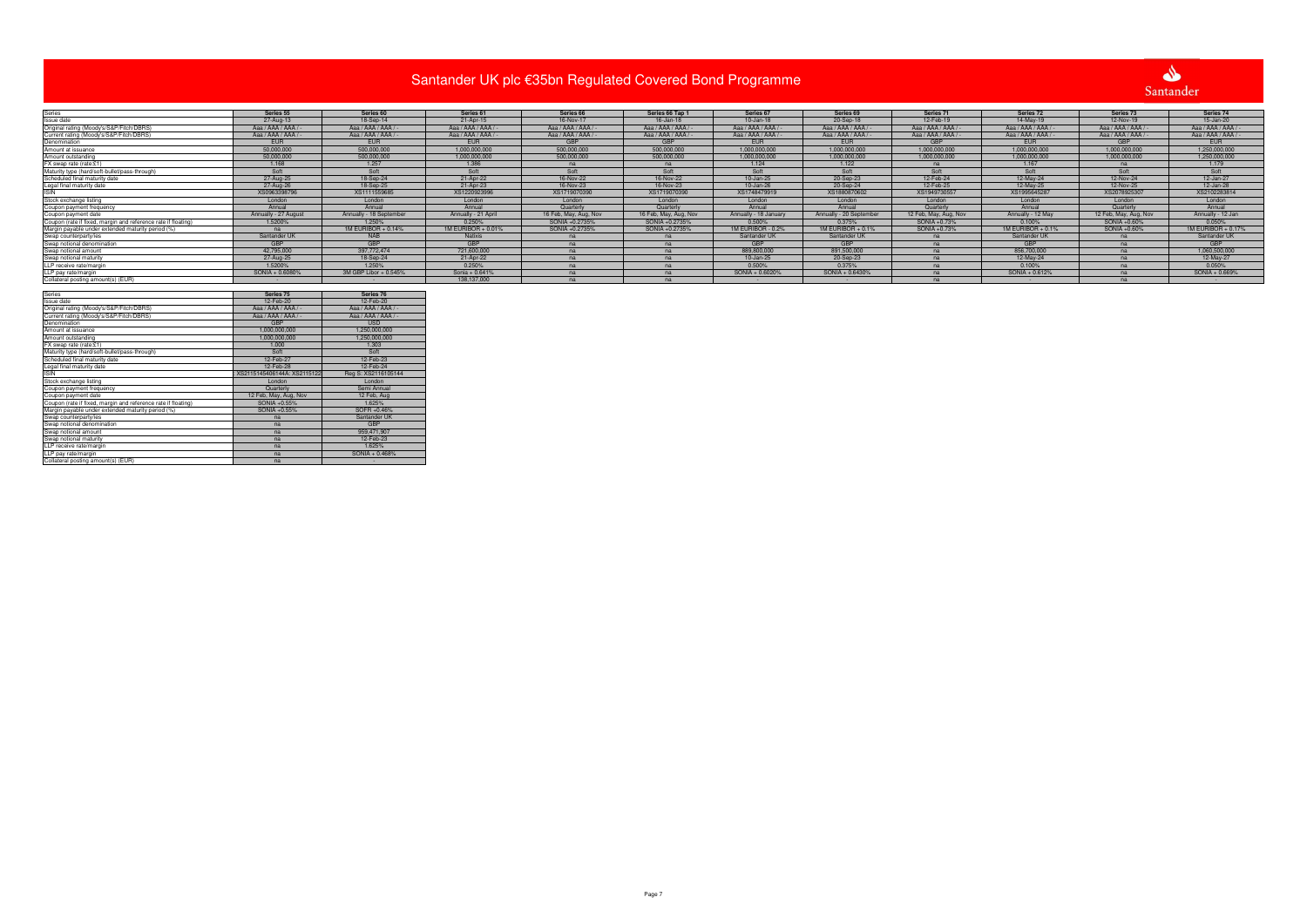|                                                                                                          |                                |                                 |                     | Santander UK plc €35bn Regulated Covered Bond Programme |                       |                      |                         |                       |                   |                       | $\bullet$           |
|----------------------------------------------------------------------------------------------------------|--------------------------------|---------------------------------|---------------------|---------------------------------------------------------|-----------------------|----------------------|-------------------------|-----------------------|-------------------|-----------------------|---------------------|
|                                                                                                          |                                |                                 |                     |                                                         |                       |                      |                         |                       |                   |                       |                     |
|                                                                                                          |                                |                                 |                     |                                                         |                       |                      |                         |                       |                   |                       | Santander           |
|                                                                                                          |                                |                                 |                     |                                                         |                       |                      |                         |                       |                   |                       |                     |
|                                                                                                          | Series 55                      | Series 60                       | Series 61           | Series 66                                               | Series 66 Tap 1       | Series 67            | Series 69               | Series 71             | Series 72         | Series 73             | Series 74           |
| Series<br>Issue date                                                                                     | 27-Aug-13                      | 18-Sep-14                       | 21-Apr-15           | 16-Nov-17                                               | 16-Jan-18             | $10 - Jan-18$        | 20-Sep-18               | 12-Feb-19             | 14-May-19         | 12-Nov-19             | 15-Jan-20           |
| Original rating (Moody's/S&P/Fitch/DBRS)<br>Current rating (Moody's/S&P/Fitch/DBRS)                      | Aaa / AAA / AAA /              | Aaa / AAA / AAA /               | Aaa / AAA / AAA /   | Aaa / AAA / AAA /                                       | Aaa / AAA / AAA /     | Aaa / AAA / AAA /    | Aaa / AAA / AAA /       | Aaa / AAA / AAA / -   | Aaa / AAA / AAA / | Aaa / AAA / AAA /     | Aaa / AAA / AAA / - |
|                                                                                                          | Aaa / AAA / AAA /              | Aaa / AAA / AAA /               | Aaa / AAA / AAA /   | Aaa / AAA / AAA /                                       | Aaa / AAA / AAA /     | Aaa / AAA / AAA /    | Aaa / AAA / AAA /       | Aaa / AAA / AAA / -   | Aaa / AAA / AAA / | Aaa / AAA / AAA /     | Aaa / AAA / AAA / - |
| Denomination                                                                                             | <b>EUR</b>                     | <b>EUR</b>                      | <b>EUR</b>          |                                                         |                       | <b>EUR</b>           | <b>EUR</b>              |                       | <b>EUR</b>        |                       | <b>EUR</b>          |
| Amount at issuance                                                                                       | 50,000,000                     | 500,000,000                     | 1.000.000.000       | 500,000,000                                             | 500.000.000           | 1,000,000,000        | 1.000.000.000           | 1.000.000.000         | 1.000.000.000     | 1.000.000.000         | 1,250,000,000       |
| Amount outstanding                                                                                       | 50.000.000                     | 500.000.000                     | 1.000.000.000       | 500,000,000                                             | 500.000.000           | 1.000.000.000        | 1.000.000.000           | 1.000.000.000         | 1.000.000.000     | 1.000.000.000         | 1.250.000.000       |
| FX swap rate (rate:£1)                                                                                   | 1.168                          | 1.257                           | 1.386               | na                                                      | na                    | 1.124                | 1.122                   | na                    | 1.167             | na                    | 1.179               |
| Maturity type (hard/soft-bullet/pass-through)                                                            | Soft                           | Soft                            | Soft                | Soft                                                    | Soft                  | Soft                 | Soft                    | Soft                  | Soft              | Soft                  | Soft                |
| Scheduled final maturity date                                                                            | 27-Aug-25                      | 18-Sep-24                       | 21-Apr-22           | 16-Nov-22                                               | 16-Nov-22             | 10-Jan-25            | 20-Sep-23               | 12-Feb-24             | 12-May-24         | 12-Nov-24             | 12-Jan-27           |
| Legal final maturity date                                                                                | 27-Aug-26                      | 18-Sep-25                       | 21-Apr-23           | 16-Nov-23                                               | 16-Nov-23             | 10-Jan-26            | 20-Sep-24               | 12-Feb-25             | 12-May-25         | 12-Nov-25             | 12-Jan-28           |
|                                                                                                          | XS0963398796                   | XS1111559685                    | XS1220923996        | XS1719070390                                            | XS1719070390          | XS1748479919         | XS1880870602            | XS1949730557          | XS199564528       | XS2078925307          | XS2102283814        |
| Stock exchange listing                                                                                   | London                         | London                          | London              | London                                                  | London                | London               | London                  | London                | London            | London                | London              |
| Coupon payment frequency                                                                                 | Annual                         | Annual                          | Annual              | Quarterly                                               | Quarterly             | Annual               | Annual                  | Quarterly             | Annual            | Quarterly             | Annual              |
| Coupon payment date                                                                                      | Annually - 27 August           | Annually - 18 September         | Annually - 21 April | 16 Feb, May, Aug, Nov                                   | 16 Feb, May, Aug, Nov | Annually - 18 Januar | Annually - 20 September | 12 Feb, May, Aug, Nov | Annually - 12 May | 12 Feb, May, Aug, Nov | Annually - 12 Jan   |
| Coupon (rate if fixed, margin and reference rate if floating)                                            | 1.5200%                        | 1.250%                          | 0.250%              | SONIA +0.2735%                                          | SONIA +0.2735%        | 0.500%               | 0.375%                  | SONIA +0.73%          | 0.100%            | SONIA +0.60%          | 0.050%              |
| Margin payable under extended maturity period (%)                                                        | na                             | 1M EURIBOR + 0.14%              | 1M EURIBOR + 0.01%  | SONIA +0.2735%                                          | SONIA +0.2735%        | 1M EURIBOR - 0.2%    | $1M$ EURIBOR + 0.1%     | SONIA +0.73%          | 1M EURIBOR + 0.1% | SONIA +0.60%          | 1M EURIBOR + 0.17%  |
| Swap counterparty/ies                                                                                    | Santander UK                   | <b>NAB</b>                      | <b>Natixis</b>      | na                                                      | na                    | Santander UK         | Santander UK            | na                    | Santander UK      | na                    | Santander UK        |
| Swap notional denomination                                                                               | GBP                            | <b>GBP</b>                      | <b>GBP</b>          | na                                                      | na                    | GBP                  | GBP                     | na                    | <b>GBP</b>        | na                    | GBP                 |
| Swap notional amount                                                                                     | 42,795,000                     | 397,772,474                     | 721,600,000         | na                                                      | na                    | 889,800,000          | 891,500,000             | na                    | 856,700,000       | na                    | 1,060,500,000       |
| Swap notional maturity                                                                                   | 27-Aug-25                      | 18-Sep-24                       | 21-Apr-22           | na                                                      | na                    | $10 - Jan-25$        | 20-Sep-23               | na                    | 12-May-24         | na                    | 12-May-27           |
| LLP receive rate/margin                                                                                  | 1.5200%                        | 1.250%                          | 0.250%              | na                                                      | na                    | 0.500%               | 0.375%                  | na                    | 0.100%            | na                    | 0.050%              |
| LLP pay rate/margin                                                                                      | SONIA + 0.6080%                | 3M GBP Libor + 0.545%           | Sonia + 0.641%      | na                                                      | na                    | SONIA + 0.6020%      | SONIA + 0.6430%         | na                    | SONIA + 0.612%    | na                    | SONIA + 0.669%      |
| Collateral posting amount(s) (EUR)                                                                       |                                |                                 | 138.137.000         | na                                                      | na                    |                      |                         | na                    |                   | na                    |                     |
|                                                                                                          |                                |                                 |                     |                                                         |                       |                      |                         |                       |                   |                       |                     |
| Series<br>Issue date                                                                                     | Series 75                      | Series 76<br>12-Feb-20          |                     |                                                         |                       |                      |                         |                       |                   |                       |                     |
| Original rating (Moody's/S&P/Fitch/DBRS)                                                                 | 12-Feb-20<br>Aaa / AAA / AAA / | Aaa / AAA / AAA /               |                     |                                                         |                       |                      |                         |                       |                   |                       |                     |
|                                                                                                          |                                |                                 |                     |                                                         |                       |                      |                         |                       |                   |                       |                     |
| Current rating (Moody's/S&P/Fitch/DBRS)<br>Denomination                                                  | Aaa / AAA / AAA /              | Aaa / AAA / AAA /<br><b>USD</b> |                     |                                                         |                       |                      |                         |                       |                   |                       |                     |
|                                                                                                          | 1.000.000.000                  | 1.250.000.000                   |                     |                                                         |                       |                      |                         |                       |                   |                       |                     |
| Amount at issuance<br>Amount outstanding                                                                 | 1.000.000.000                  | 1.250.000.000                   |                     |                                                         |                       |                      |                         |                       |                   |                       |                     |
| FX swap rate (rate:£1)                                                                                   | 1.000                          | 1.303                           |                     |                                                         |                       |                      |                         |                       |                   |                       |                     |
| Maturity type (hard/soft-bullet/pass-through)                                                            | Soft                           | Soft                            |                     |                                                         |                       |                      |                         |                       |                   |                       |                     |
| Scheduled final maturity date                                                                            | 12-Feb-27                      | 12-Feb-23                       |                     |                                                         |                       |                      |                         |                       |                   |                       |                     |
| Legal final maturity date                                                                                | 12-Feb-28                      | 12-Feb-24                       |                     |                                                         |                       |                      |                         |                       |                   |                       |                     |
| <b>ISIN</b>                                                                                              | XS2115145406144A: XS211512     | Reg S: XS2116105144             |                     |                                                         |                       |                      |                         |                       |                   |                       |                     |
| Stock exchange listing                                                                                   | London                         | London                          |                     |                                                         |                       |                      |                         |                       |                   |                       |                     |
|                                                                                                          | Quarterly                      | Semi Annual                     |                     |                                                         |                       |                      |                         |                       |                   |                       |                     |
| Coupon payment frequency<br>Coupon payment date                                                          | 12 Feb, May, Aug, Nov          | 12 Feb, Aug                     |                     |                                                         |                       |                      |                         |                       |                   |                       |                     |
| Coupon (rate if fixed, margin and reference rate if floating)                                            | SONIA +0.55%                   | 1.625%                          |                     |                                                         |                       |                      |                         |                       |                   |                       |                     |
|                                                                                                          | SONIA +0.55%                   | SOFR +0.46%                     |                     |                                                         |                       |                      |                         |                       |                   |                       |                     |
|                                                                                                          | na                             | Santander UK                    |                     |                                                         |                       |                      |                         |                       |                   |                       |                     |
| Margin payable under extended maturity period (%)<br>Swap counterparty/ies<br>Swap notional denomination | na                             | <b>GBP</b>                      |                     |                                                         |                       |                      |                         |                       |                   |                       |                     |
|                                                                                                          | na                             | 959,471,907                     |                     |                                                         |                       |                      |                         |                       |                   |                       |                     |
| Swap notional amount<br>Swap notional maturity                                                           | na                             | 12-Feb-23                       |                     |                                                         |                       |                      |                         |                       |                   |                       |                     |
| LLP receive rate/margin                                                                                  | na                             | 1.625%                          |                     |                                                         |                       |                      |                         |                       |                   |                       |                     |
| LLP pay rate/margin                                                                                      | na                             | SONIA + 0.468%                  |                     |                                                         |                       |                      |                         |                       |                   |                       |                     |
| Collateral posting amount(s) (EUR)                                                                       | na                             |                                 |                     |                                                         |                       |                      |                         |                       |                   |                       |                     |
|                                                                                                          |                                |                                 |                     |                                                         |                       |                      |                         |                       |                   |                       |                     |

| Series                                                        | Series 75                   | Series 76           |
|---------------------------------------------------------------|-----------------------------|---------------------|
| Issue date                                                    | 12-Feb-20                   | 12-Feb-20           |
| Original rating (Moody's/S&P/Fitch/DBRS)                      | Aaa / AAA / AAA / -         | Aaa / AAA / AAA / - |
| Current rating (Moody's/S&P/Fitch/DBRS)                       | Aaa / AAA / AAA / -         | Aaa / AAA / AAA / - |
| Denomination                                                  | <b>GBP</b>                  | <b>USD</b>          |
| Amount at issuance                                            | 1,000,000,000               | 1,250,000,000       |
| Amount outstanding                                            | 1,000,000,000               | 1,250,000,000       |
| FX swap rate (rate:£1)                                        | 1.000                       | 1.303               |
| Maturity type (hard/soft-bullet/pass-through)                 | Soft                        | Soft                |
| Scheduled final maturity date                                 | 12-Feb-27                   | 12-Feb-23           |
| Legal final maturity date                                     | 12-Feb-28                   | 12-Feb-24           |
| <b>ISIN</b>                                                   | XS2115145406144A: XS2115122 | Reg S: XS2116105144 |
| Stock exchange listing                                        | London                      | London              |
| Coupon payment frequency                                      | Quarterly                   | Semi Annual         |
| Coupon payment date                                           | 12 Feb, May, Aug, Nov       | 12 Feb, Aug         |
| Coupon (rate if fixed, margin and reference rate if floating) | SONIA +0.55%                | 1.625%              |
| Margin payable under extended maturity period (%)             | SONIA +0.55%                | SOFR +0.46%         |
| Swap counterparty/ies                                         | na                          | Santander UK        |
| Swap notional denomination                                    | na                          | <b>GBP</b>          |
| Swap notional amount                                          | na                          | 959.471.907         |
| Swap notional maturity                                        | na                          | 12-Feb-23           |
| LLP receive rate/margin                                       | na                          | 1.625%              |
| LLP pay rate/margin                                           | na                          | SONIA + 0.468%      |
| Collateral posting amount(s) (EUR)                            | na                          |                     |

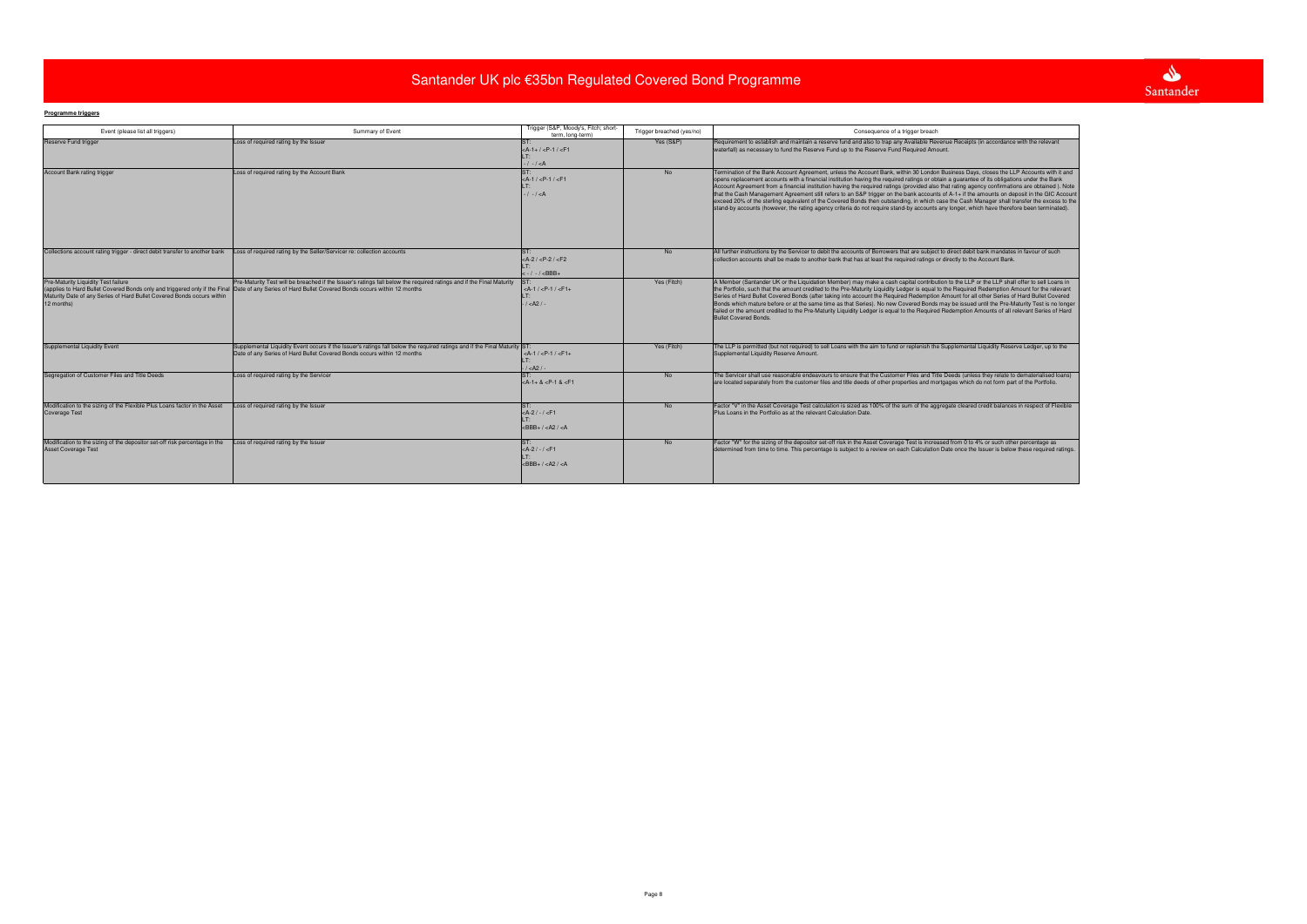# **Programme triggers**

| Event (please list all triggers)                                                                                            | Summary of Event                                                                                                                                                                                                                                                           | Trigger (S&P, Moody's, Fitch; short-<br>term. long-term)                                      | Trigger breached (yes/no) | Consequence of a trigger breach                                                                                                                                                                                                                                                                                                                                                                                                                                                                                                                                                                                                                                                                                                                                                                                                                                                       |
|-----------------------------------------------------------------------------------------------------------------------------|----------------------------------------------------------------------------------------------------------------------------------------------------------------------------------------------------------------------------------------------------------------------------|-----------------------------------------------------------------------------------------------|---------------------------|---------------------------------------------------------------------------------------------------------------------------------------------------------------------------------------------------------------------------------------------------------------------------------------------------------------------------------------------------------------------------------------------------------------------------------------------------------------------------------------------------------------------------------------------------------------------------------------------------------------------------------------------------------------------------------------------------------------------------------------------------------------------------------------------------------------------------------------------------------------------------------------|
| <b>Reserve Fund trigger</b>                                                                                                 | Loss of required rating by the Issuer                                                                                                                                                                                                                                      | $<$ A-1+/ $<$ P-1/ $<$ F1<br>$-/- / < A$                                                      | Yes (S&P)                 | Requirement to establish and maintain a reserve fund and also to trap any Available Revenue Receipts (in accordance with the relevant<br>waterfall) as necessary to fund the Reserve Fund up to the Reserve Fund Required Amount.                                                                                                                                                                                                                                                                                                                                                                                                                                                                                                                                                                                                                                                     |
| Account Bank rating trigger                                                                                                 | Loss of required rating by the Account Bank                                                                                                                                                                                                                                | ST:<br>$<$ A-1 / $<$ P-1 / $<$ F1<br>$-1 - 1 < A$                                             | <b>No</b>                 | Termination of the Bank Account Agreement, unless the Account Bank, within 30 London Business Days, closes the LLP Accounts with it and<br>opens replacement accounts with a financial institution having the required ratings or obtain a guarantee of its obligations under the Bank<br>Account Agreement from a financial institution having the required ratings (provided also that rating agency confirmations are obtained). Note<br>that the Cash Management Agreement still refers to an S&P trigger on the bank accounts of A-1+ if the amounts on deposit in the GIC Account<br>exceed 20% of the sterling equivalent of the Covered Bonds then outstanding, in which case the Cash Manager shall transfer the excess to the<br>stand-by accounts (however, the rating agency criteria do not require stand-by accounts any longer, which have therefore been terminated). |
| Collections account rating trigger - direct debit transfer to another bank                                                  | Loss of required rating by the Seller/Servicer re: collection accounts                                                                                                                                                                                                     | $<$ A-2 / $<$ P-2 / $<$ F2<br>$<-/$ -/ $<$ BBB+                                               | <b>No</b>                 | All further instructions by the Servicer to debit the accounts of Borrowers that are subject to direct debit bank mandates in favour of such<br>collection accounts shall be made to another bank that has at least the required ratings or directly to the Account Bank.                                                                                                                                                                                                                                                                                                                                                                                                                                                                                                                                                                                                             |
| Pre-Maturity Liquidity Test failure<br>Maturity Date of any Series of Hard Bullet Covered Bonds occurs within<br>12 months) | Pre-Maturity Test will be breached if the Issuer's ratings fall below the required ratings and if the Final Maturity<br>(applies to Hard Bullet Covered Bonds only and triggered only if the Final Date of any Series of Hard Bullet Covered Bonds occurs within 12 months | $<$ A-1 / $<$ P-1 / $<$ F1+<br>LT:<br>1 < A21                                                 | Yes (Fitch)               | A Member (Santander UK or the Liquidation Member) may make a cash capital contribution to the LLP or the LLP shall offer to sell Loans in<br>the Portfolio, such that the amount credited to the Pre-Maturity Liquidity Ledger is equal to the Required Redemption Amount for the relevant<br>Series of Hard Bullet Covered Bonds (after taking into account the Required Redemption Amount for all other Series of Hard Bullet Covered<br>Bonds which mature before or at the same time as that Series). No new Covered Bonds may be issued until the Pre-Maturity Test is no longer<br>failed or the amount credited to the Pre-Maturity Liquidity Ledger is equal to the Required Redemption Amounts of all relevant Series of Hard<br><b>Bullet Covered Bonds.</b>                                                                                                                |
| <b>Supplemental Liquidity Event</b>                                                                                         | Supplemental Liquidity Event occurs if the Issuer's ratings fall below the required ratings and if the Final Maturity ST:<br>Date of any Series of Hard Bullet Covered Bonds occurs within 12 months                                                                       | $<$ A-1 / $<$ P-1 / $<$ F1+<br>$1 < A21$ .                                                    | Yes (Fitch)               | The LLP is permitted (but not required) to sell Loans with the aim to fund or replenish the Supplemental Liquidity Reserve Ledger, up to the<br>Supplemental Liquidity Reserve Amount.                                                                                                                                                                                                                                                                                                                                                                                                                                                                                                                                                                                                                                                                                                |
| Segregation of Customer Files and Title Deeds                                                                               | Loss of required rating by the Servicer                                                                                                                                                                                                                                    | $<$ A-1+ & $<$ P-1 & $<$ F1                                                                   | No.                       | The Servicer shall use reasonable endeavours to ensure that the Customer Files and Title Deeds (unless they relate to dematerialised loans)<br>are located separately from the customer files and title deeds of other properties and mortgages which do not form part of the Portfolio.                                                                                                                                                                                                                                                                                                                                                                                                                                                                                                                                                                                              |
| Modification to the sizing of the Flexible Plus Loans factor in the Asset<br><b>Coverage Test</b>                           | Loss of required rating by the Issuer                                                                                                                                                                                                                                      | $<$ A-2 / - / <f1<br><math>&lt;</math>BBB+ / <math>&lt;</math>A2 / <math>&lt;</math>A</f1<br> | <b>No</b>                 | Factor "V" in the Asset Coverage Test calculation is sized as 100% of the sum of the aggregate cleared credit balances in respect of Flexible<br>Plus Loans in the Portfolio as at the relevant Calculation Date.                                                                                                                                                                                                                                                                                                                                                                                                                                                                                                                                                                                                                                                                     |
| Modification to the sizing of the depositor set-off risk percentage in the<br><b>Asset Coverage Test</b>                    | Loss of required rating by the Issuer                                                                                                                                                                                                                                      | $<$ A-2 / - / <f1<br><math>&lt;</math>BBB+ / <math>&lt;</math>A2 / <math>&lt;</math>A</f1<br> | <b>No</b>                 | Factor "W" for the sizing of the depositor set-off risk in the Asset Coverage Test is increased from 0 to 4% or such other percentage as<br>determined from time to time. This percentage is subject to a review on each Calculation Date once the Issuer is below these required ratings.                                                                                                                                                                                                                                                                                                                                                                                                                                                                                                                                                                                            |

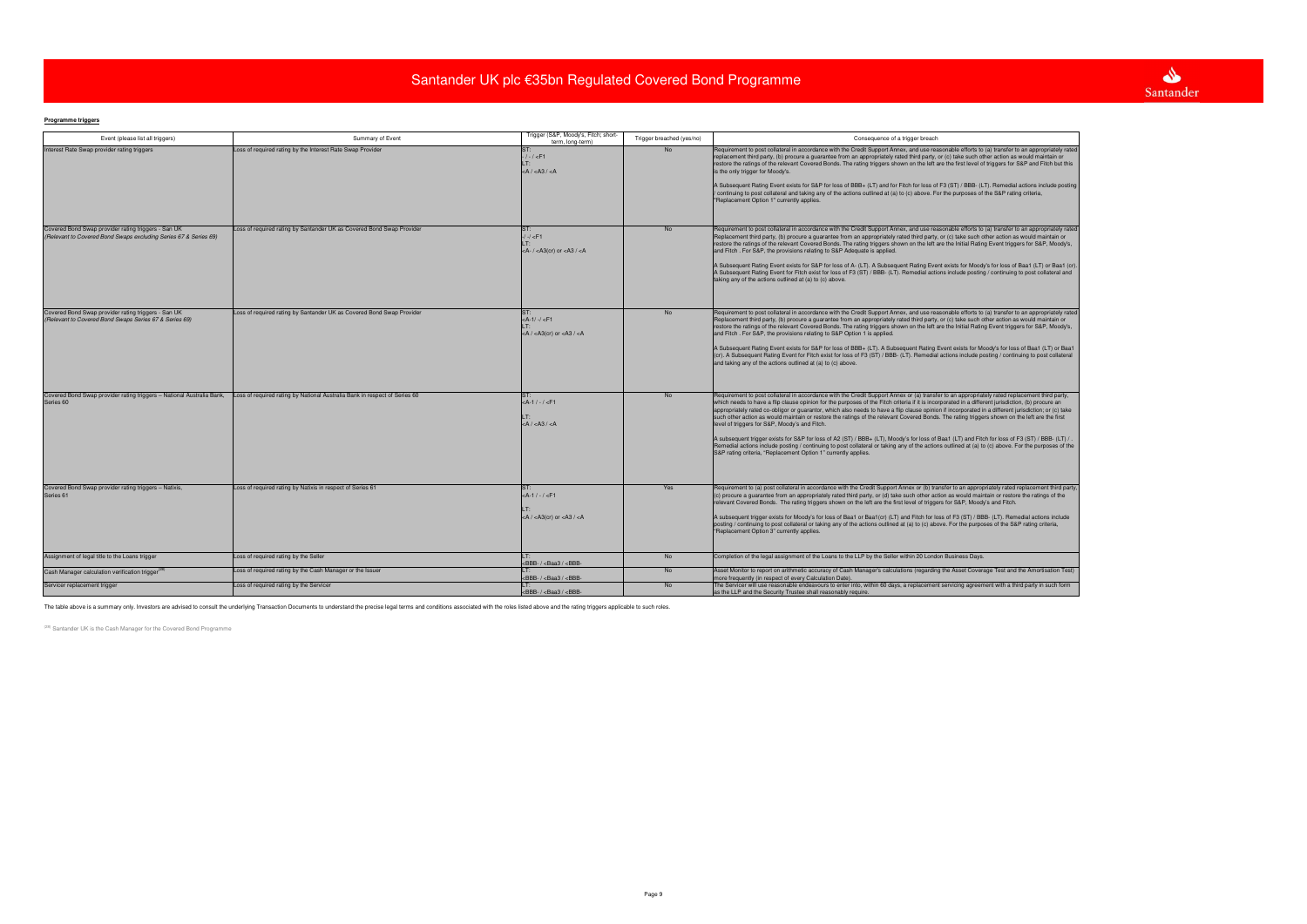# **Programme triggers**

| Event (please list all triggers)                                                                                        | Summary of Event                                                           | Trigger (S&P, Moody's, Fitch; short-<br>term. long-term)                                                                                                                                                                                                                                                                                                                                                                                                                                                                                                                                                                                                                                                                                                                                                                                                                                                                                                                                                                                                        | Trigger breached (yes/no) | Consequence of a trigger breach                                                                                                                                                                                                                                                                                                                                                                                                                                                                                                                                                                                                                                                                                                                                                                                                                                                                                                                                                                                                          |
|-------------------------------------------------------------------------------------------------------------------------|----------------------------------------------------------------------------|-----------------------------------------------------------------------------------------------------------------------------------------------------------------------------------------------------------------------------------------------------------------------------------------------------------------------------------------------------------------------------------------------------------------------------------------------------------------------------------------------------------------------------------------------------------------------------------------------------------------------------------------------------------------------------------------------------------------------------------------------------------------------------------------------------------------------------------------------------------------------------------------------------------------------------------------------------------------------------------------------------------------------------------------------------------------|---------------------------|------------------------------------------------------------------------------------------------------------------------------------------------------------------------------------------------------------------------------------------------------------------------------------------------------------------------------------------------------------------------------------------------------------------------------------------------------------------------------------------------------------------------------------------------------------------------------------------------------------------------------------------------------------------------------------------------------------------------------------------------------------------------------------------------------------------------------------------------------------------------------------------------------------------------------------------------------------------------------------------------------------------------------------------|
| Interest Rate Swap provider rating triggers                                                                             | Loss of required rating by the Interest Rate Swap Provider                 | ST:<br>$-/-/-$ F1<br>$<$ A / $<$ A3 / $<$ A                                                                                                                                                                                                                                                                                                                                                                                                                                                                                                                                                                                                                                                                                                                                                                                                                                                                                                                                                                                                                     | <b>No</b>                 | Requirement to post collateral in accordance with the Credit Support Annex, and use reasonable efforts to (a) transfer to an appropriately rated<br>replacement third party, (b) procure a guarantee from an appropriately rated third party, or (c) take such other action as would maintain or<br>restore the ratings of the relevant Covered Bonds. The rating triggers shown on the left are the first level of triggers for S&P and Fitch but this<br>is the only trigger for Moody's.<br>A Subsequent Rating Event exists for S&P for loss of BBB+ (LT) and for Fitch for loss of F3 (ST) / BBB- (LT). Remedial actions include posting<br>continuing to post collateral and taking any of the actions outlined at (a) to (c) above. For the purposes of the S&P rating criteria,<br>"Replacement Option 1" currently applies.                                                                                                                                                                                                     |
| Covered Bond Swap provider rating triggers - San UK<br>(Relevant to Covered Bond Swaps excluding Series 67 & Series 69) | Loss of required rating by Santander UK as Covered Bond Swap Provider      | <b>ST</b><br>$-/-/$ <f1<br><a- <math="">/ <a3(cr) <a3="" <math="" or="">/ <a< td=""><td><b>No</b></td><td>Requirement to post collateral in accordance with the Credit Support Annex, and use reasonable efforts to (a) transfer to an appropriately rated<br/>Replacement third party, (b) procure a guarantee from an appropriately rated third party, or (c) take such other action as would maintain or<br/>restore the ratings of the relevant Covered Bonds. The rating triggers shown on the left are the Initial Rating Event triggers for S&amp;P, Moody's,<br/>and Fitch. For S&amp;P, the provisions relating to S&amp;P Adequate is applied.<br/>A Subsequent Rating Event exists for S&amp;P for loss of A- (LT). A Subsequent Rating Event exists for Moody's for loss of Baa1 (LT) or Baa1 (cr).<br/>A Subsequent Rating Event for Fitch exist for loss of F3 (ST) / BBB- (LT). Remedial actions include posting / continuing to post collateral and<br/>taking any of the actions outlined at (a) to (c) above.</td></a<></a3(cr)></a-></f1<br> | <b>No</b>                 | Requirement to post collateral in accordance with the Credit Support Annex, and use reasonable efforts to (a) transfer to an appropriately rated<br>Replacement third party, (b) procure a guarantee from an appropriately rated third party, or (c) take such other action as would maintain or<br>restore the ratings of the relevant Covered Bonds. The rating triggers shown on the left are the Initial Rating Event triggers for S&P, Moody's,<br>and Fitch. For S&P, the provisions relating to S&P Adequate is applied.<br>A Subsequent Rating Event exists for S&P for loss of A- (LT). A Subsequent Rating Event exists for Moody's for loss of Baa1 (LT) or Baa1 (cr).<br>A Subsequent Rating Event for Fitch exist for loss of F3 (ST) / BBB- (LT). Remedial actions include posting / continuing to post collateral and<br>taking any of the actions outlined at (a) to (c) above.                                                                                                                                          |
| Covered Bond Swap provider rating triggers - San UK<br>(Relevant to Covered Bond Swaps Series 67 & Series 69)           | Loss of required rating by Santander UK as Covered Bond Swap Provider      | $<$ A-1/-/ $<$ F1<br>$<$ A / $<$ A3(cr) or $<$ A3 / $<$ A                                                                                                                                                                                                                                                                                                                                                                                                                                                                                                                                                                                                                                                                                                                                                                                                                                                                                                                                                                                                       | <b>No</b>                 | Requirement to post collateral in accordance with the Credit Support Annex, and use reasonable efforts to (a) transfer to an appropriately rated<br>Replacement third party, (b) procure a guarantee from an appropriately rated third party, or (c) take such other action as would maintain or<br>restore the ratings of the relevant Covered Bonds. The rating triggers shown on the left are the Initial Rating Event triggers for S&P, Moody's,<br>and Fitch. For S&P, the provisions relating to S&P Option 1 is applied.<br>A Subsequent Rating Event exists for S&P for loss of BBB+ (LT). A Subsequent Rating Event exists for Moody's for loss of Baa1 (LT) or Baa1<br>(cr). A Subsequent Rating Event for Fitch exist for loss of F3 (ST) / BBB- (LT). Remedial actions include posting / continuing to post collateral<br>and taking any of the actions outlined at (a) to (c) above.                                                                                                                                        |
| Covered Bond Swap provider rating triggers - National Australia Bank,<br>Series 60                                      | Loss of required rating by National Australia Bank in respect of Series 60 | ST:<br>$<$ A-1 / - / $<$ F1<br>$<$ A / $<$ A3 / $<$ A                                                                                                                                                                                                                                                                                                                                                                                                                                                                                                                                                                                                                                                                                                                                                                                                                                                                                                                                                                                                           | <b>No</b>                 | Requirement to post collateral in accordance with the Credit Support Annex or (a) transfer to an appropriately rated replacement third party,<br>which needs to have a flip clause opinion for the purposes of the Fitch criteria if it is incorporated in a different jurisdiction, (b) procure an<br>appropriately rated co-obligor or guarantor, which also needs to have a flip clause opinion if incorporated in a different jurisdiction; or (c) take<br>such other action as would maintain or restore the ratings of the relevant Covered Bonds. The rating triggers shown on the left are the first<br>level of triggers for S&P, Moody's and Fitch.<br>A subsequent trigger exists for S&P for loss of A2 (ST) / BBB+ (LT), Moody's for loss of Baa1 (LT) and Fitch for loss of F3 (ST) / BBB- (LT) /<br>Remedial actions include posting / continuing to post collateral or taking any of the actions outlined at (a) to (c) above. For the purposes of the<br>S&P rating criteria, "Replacement Option 1" currently applies. |
| Covered Bond Swap provider rating triggers - Natixis,<br>Series <sub>61</sub>                                           | Loss of required rating by Natixis in respect of Series 61                 | $<$ A-1 / - / $<$ F1<br>$<$ A / $<$ A3(cr) or $<$ A3 / $<$ A                                                                                                                                                                                                                                                                                                                                                                                                                                                                                                                                                                                                                                                                                                                                                                                                                                                                                                                                                                                                    | Yes                       | Requirement to (a) post collateral in accordance with the Credit Support Annex or (b) transfer to an appropriately rated replacement third party<br>(c) procure a guarantee from an appropriately rated third party, or (d) take such other action as would maintain or restore the ratings of the<br>relevant Covered Bonds. The rating triggers shown on the left are the first level of triggers for S&P, Moody's and Fitch.<br>A subsequent trigger exists for Moody's for loss of Baa1 or Baa1 (cr) (LT) and Fitch for loss of F3 (ST) / BBB- (LT). Remedial actions include<br>posting / continuing to post collateral or taking any of the actions outlined at (a) to (c) above. For the purposes of the S&P rating criteria,<br>"Replacement Option 3" currently applies.                                                                                                                                                                                                                                                        |
| Assignment of legal title to the Loans trigger                                                                          | Loss of required rating by the Seller                                      | <bbb- <baa3="" <bbb-<="" td=""><td>No</td><td>Completion of the legal assignment of the Loans to the LLP by the Seller within 20 London Business Days.</td></bbb->                                                                                                                                                                                                                                                                                                                                                                                                                                                                                                                                                                                                                                                                                                                                                                                                                                                                                              | No                        | Completion of the legal assignment of the Loans to the LLP by the Seller within 20 London Business Days.                                                                                                                                                                                                                                                                                                                                                                                                                                                                                                                                                                                                                                                                                                                                                                                                                                                                                                                                 |
| Cash Manager calculation verification trigger <sup>(28)</sup>                                                           | oss of required rating by the Cash Manager or the Issuer                   | <bbb- <baa3="" <bbb-<="" td=""><td>No</td><td>Asset Monitor to report on arithmetic accuracy of Cash Manager's calculations (regarding the Asset Coverage Test and the Amortisation Test)<br/>more frequently (in respect of every Calculation Date).</td></bbb->                                                                                                                                                                                                                                                                                                                                                                                                                                                                                                                                                                                                                                                                                                                                                                                               | No                        | Asset Monitor to report on arithmetic accuracy of Cash Manager's calculations (regarding the Asset Coverage Test and the Amortisation Test)<br>more frequently (in respect of every Calculation Date).                                                                                                                                                                                                                                                                                                                                                                                                                                                                                                                                                                                                                                                                                                                                                                                                                                   |
| Servicer replacement trigger                                                                                            | oss of required rating by the Servicer                                     | <bbb- <baa3="" <bbb-<="" td=""><td>No</td><td>The Servicer will use reasonable endeavours to enter into, within 60 days, a replacement servicing agreement with a third party in such form<br/>as the LLP and the Security Trustee shall reasonably require.</td></bbb->                                                                                                                                                                                                                                                                                                                                                                                                                                                                                                                                                                                                                                                                                                                                                                                        | No                        | The Servicer will use reasonable endeavours to enter into, within 60 days, a replacement servicing agreement with a third party in such form<br>as the LLP and the Security Trustee shall reasonably require.                                                                                                                                                                                                                                                                                                                                                                                                                                                                                                                                                                                                                                                                                                                                                                                                                            |

The table above is a summary only. Investors are advised to consult the underlying Transaction Documents to understand the precise legal terms and conditions associated with the roles listed above and the rating triggers a

<sup>(28)</sup> Santander UK is the Cash Manager for the Covered Bond Programme